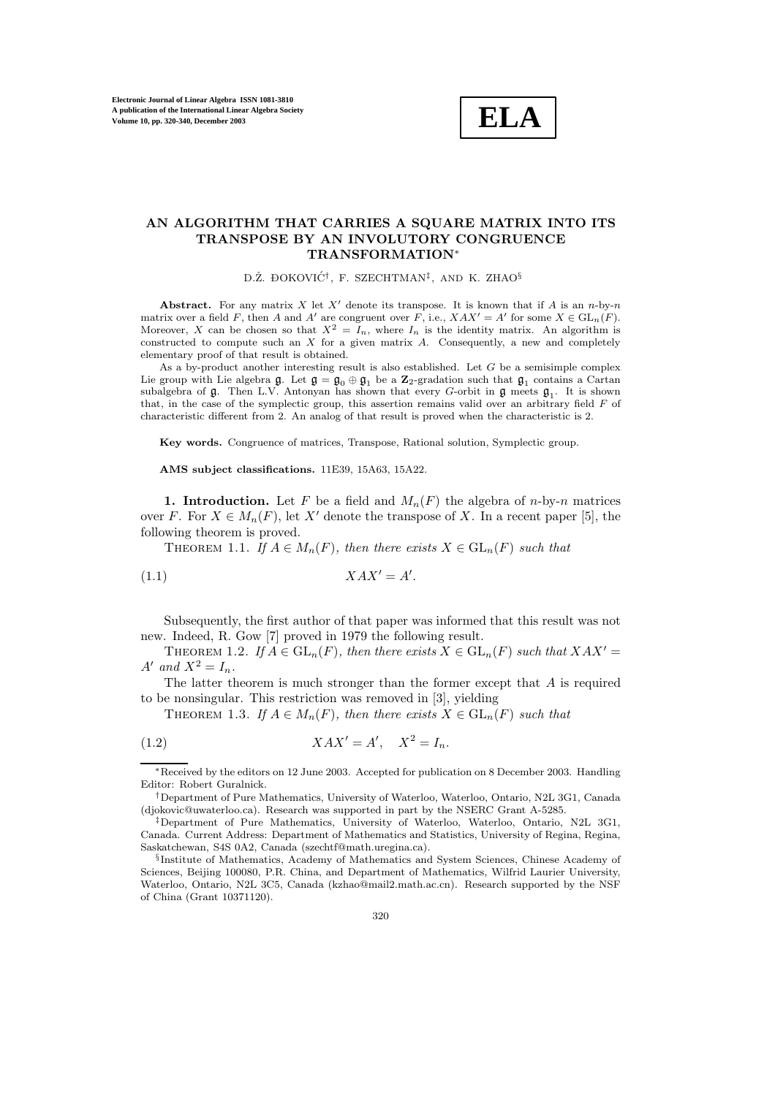

## **AN ALGORITHM THAT CARRIES A SQUARE MATRIX INTO ITS TRANSPOSE BY AN INVOLUTORY CONGRUENCE TRANSFORMATION**∗

D.Ž. ĐOKOVIĆ<sup>†</sup>, F. SZECHTMAN<sup>‡</sup>, AND K. ZHAO<sup>§</sup>

Abstract. For any matrix  $X$  let  $X'$  denote its transpose. It is known that if  $A$  is an  $n$ -by- $n$ matrix over a field F, then A and A' are congruent over F, i.e.,  $XAX' = A'$  for some  $X \in GL_n(F)$ . Moreover, X can be chosen so that  $X^2 = I_n$ , where  $I_n$  is the identity matrix. An algorithm is constructed to compute such an  $X$  for a given matrix  $A$ . Consequently, a new and completely elementary proof of that result is obtained.

As a by-product another interesting result is also established. Let  $G$  be a semisimple complex Lie group with Lie algebra  $\mathfrak{g}$ . Let  $\mathfrak{g} = \mathfrak{g}_0 \oplus \mathfrak{g}_1$  be a  $\mathbb{Z}_2$ -gradation such that  $\mathfrak{g}_1$  contains a Cartan subalgebra of  $\mathfrak{g}$ . Then L.V. Antonyan has shown that every G-orbit in  $\mathfrak{g}$  meets  $\mathfrak{g}_1$ . It is shown that, in the case of the symplectic group, this assertion remains valid over an arbitrary field  $F$  of characteristic different from 2. An analog of that result is proved when the characteristic is 2.

**Key words.** Congruence of matrices, Transpose, Rational solution, Symplectic group.

**AMS subject classifications.** 11E39, 15A63, 15A22.

**1. Introduction.** Let F be a field and  $M_n(F)$  the algebra of n-by-n matrices over F. For  $X \in M_n(F)$ , let X' denote the transpose of X. In a recent paper [5], the following theorem is proved.

THEOREM 1.1. *If*  $A \in M_n(F)$ *, then there exists*  $X \in GL_n(F)$  *such that* 

$$
(1.1)\t\t XAX' = A'.
$$

Subsequently, the first author of that paper was informed that this result was not new. Indeed, R. Gow [7] proved in 1979 the following result.

THEOREM 1.2. If  $A \in GL_n(F)$ , then there exists  $X \in GL_n(F)$  such that  $XAX' =$  $A'$  and  $X^2 = I_n$ .

The latter theorem is much stronger than the former except that  $A$  is required to be nonsingular. This restriction was removed in [3], yielding

THEOREM 1.3. *If*  $A \in M_n(F)$ *, then there exists*  $X \in GL_n(F)$  *such that* 

$$
(1.2)\t\t XAX' = A',\t X^2 = I_n.
$$

<sup>\*</sup>Received by the editors on 12 June 2003. Accepted for publication on 8 December 2003. Handling Editor: Robert Guralnick.

<sup>†</sup>Department of Pure Mathematics, University of Waterloo, Waterloo, Ontario, N2L 3G1, Canada (djokovic@uwaterloo.ca). Research was supported in part by the NSERC Grant A-5285.

<sup>‡</sup>Department of Pure Mathematics, University of Waterloo, Waterloo, Ontario, N2L 3G1, Canada. Current Address: Department of Mathematics and Statistics, University of Regina, Regina, Saskatchewan, S4S 0A2, Canada (szechtf@math.uregina.ca).

<sup>§</sup>Institute of Mathematics, Academy of Mathematics and System Sciences, Chinese Academy of Sciences, Beijing 100080, P.R. China, and Department of Mathematics, Wilfrid Laurier University, Waterloo, Ontario, N2L 3C5, Canada (kzhao@mail2.math.ac.cn). Research supported by the NSF of China (Grant 10371120).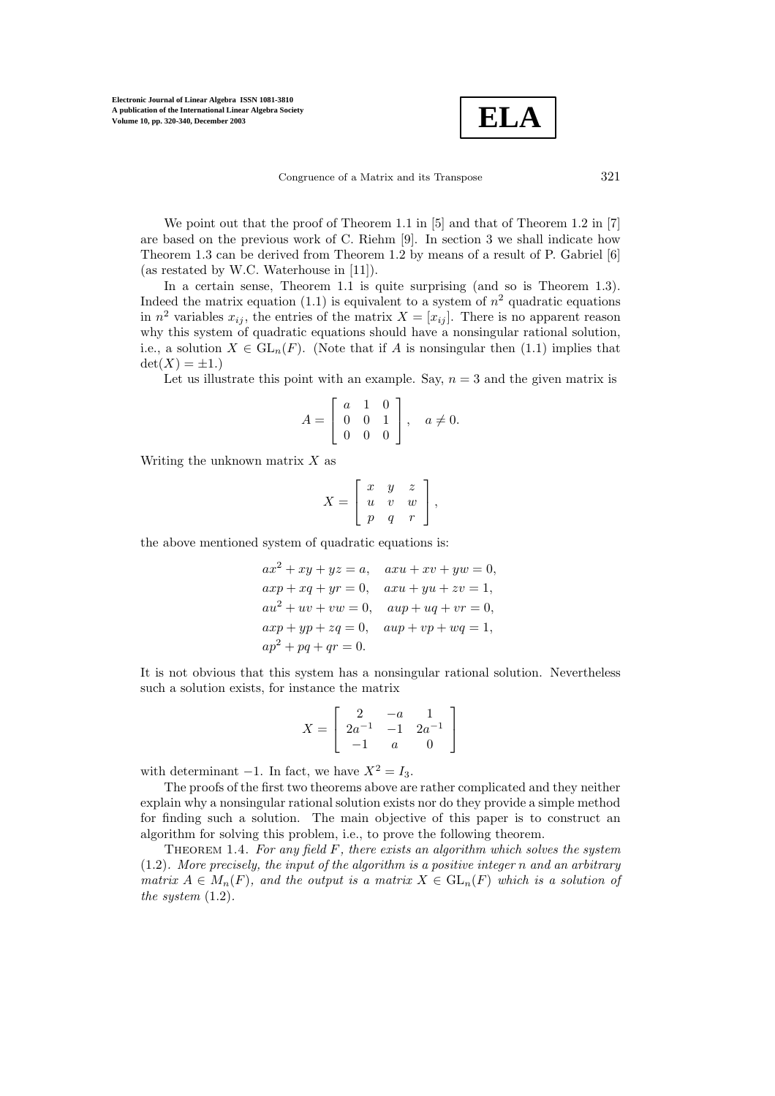$$
\boxed{\text{ELA}}
$$

Congruence of a Matrix and its Transpose 321

We point out that the proof of Theorem 1.1 in [5] and that of Theorem 1.2 in [7] are based on the previous work of C. Riehm [9]. In section 3 we shall indicate how Theorem 1.3 can be derived from Theorem 1.2 by means of a result of P. Gabriel [6] (as restated by W.C. Waterhouse in [11]).

In a certain sense, Theorem 1.1 is quite surprising (and so is Theorem 1.3). Indeed the matrix equation (1.1) is equivalent to a system of  $n^2$  quadratic equations in  $n^2$  variables  $x_{ij}$ , the entries of the matrix  $X = [x_{ij}]$ . There is no apparent reason why this system of quadratic equations should have a nonsingular rational solution, i.e., a solution  $X \in GL_n(F)$ . (Note that if A is nonsingular then (1.1) implies that  $\det(X) = \pm 1.$ 

Let us illustrate this point with an example. Say,  $n = 3$  and the given matrix is

$$
A = \left[ \begin{array}{rrr} a & 1 & 0 \\ 0 & 0 & 1 \\ 0 & 0 & 0 \end{array} \right], \quad a \neq 0.
$$

Writing the unknown matrix  $X$  as

$$
X = \left[ \begin{array}{ccc} x & y & z \\ u & v & w \\ p & q & r \end{array} \right],
$$

the above mentioned system of quadratic equations is:

$$
ax^{2} + xy + yz = a, \quad axu + xv + yw = 0,
$$
  
\n
$$
axp + xq + yr = 0, \quad axu + yu + zv = 1,
$$
  
\n
$$
au^{2} + uv + vw = 0, \quad aup + uq + vr = 0,
$$
  
\n
$$
axp + yp + zq = 0, \quad aup + vp + wq = 1,
$$
  
\n
$$
ap^{2} + pq + qr = 0.
$$

It is not obvious that this system has a nonsingular rational solution. Nevertheless such a solution exists, for instance the matrix

$$
X = \left[ \begin{array}{rrr} 2 & -a & 1 \\ 2a^{-1} & -1 & 2a^{-1} \\ -1 & a & 0 \end{array} \right]
$$

with determinant  $-1$ . In fact, we have  $X^2 = I_3$ .

The proofs of the first two theorems above are rather complicated and they neither explain why a nonsingular rational solution exists nor do they provide a simple method for finding such a solution. The main objective of this paper is to construct an algorithm for solving this problem, i.e., to prove the following theorem.

Theorem 1.4. *For any field* F*, there exists an algorithm which solves the system* (1.2)*. More precisely, the input of the algorithm is a positive integer* n *and an arbitrary matrix*  $A \in M_n(F)$ *, and the output is a matrix*  $X \in GL_n(F)$  *which is a solution of the system* (1.2)*.*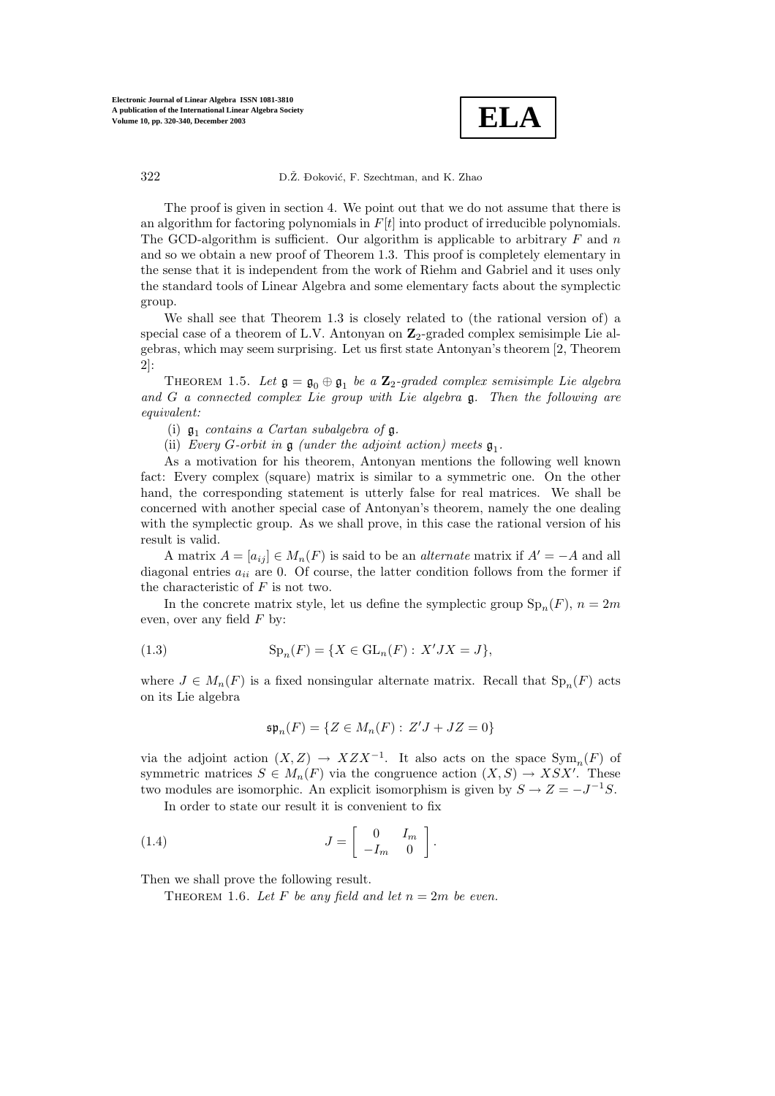

The proof is given in section 4. We point out that we do not assume that there is an algorithm for factoring polynomials in  $F[t]$  into product of irreducible polynomials. The GCD-algorithm is sufficient. Our algorithm is applicable to arbitrary  $F$  and  $n$ and so we obtain a new proof of Theorem 1.3. This proof is completely elementary in the sense that it is independent from the work of Riehm and Gabriel and it uses only the standard tools of Linear Algebra and some elementary facts about the symplectic group.

We shall see that Theorem 1.3 is closely related to (the rational version of) a special case of a theorem of L.V. Antonyan on **Z**2-graded complex semisimple Lie algebras, which may seem surprising. Let us first state Antonyan's theorem [2, Theorem 2]:

THEOREM 1.5. Let  $\mathfrak{g} = \mathfrak{g}_0 \oplus \mathfrak{g}_1$  *be a*  $\mathbb{Z}_2$ -graded complex semisimple Lie algebra *and* <sup>G</sup> *a connected complex Lie group with Lie algebra* g*. Then the following are equivalent:*

(i)  $\mathfrak{g}_1$  *contains a Cartan subalgebra of*  $\mathfrak{g}$ *.* 

(ii) *Every* G-orbit in  $\mathfrak{g}$  *(under the adjoint action)* meets  $\mathfrak{g}_1$ .

As a motivation for his theorem, Antonyan mentions the following well known fact: Every complex (square) matrix is similar to a symmetric one. On the other hand, the corresponding statement is utterly false for real matrices. We shall be concerned with another special case of Antonyan's theorem, namely the one dealing with the symplectic group. As we shall prove, in this case the rational version of his result is valid.

A matrix  $A = [a_{ij}] \in M_n(F)$  is said to be an *alternate* matrix if  $A' = -A$  and all diagonal entries  $a_{ii}$  are 0. Of course, the latter condition follows from the former if the characteristic of  $F$  is not two.

In the concrete matrix style, let us define the symplectic group  $\text{Sp}_n(F)$ ,  $n = 2m$ even, over any field  $F$  by:

(1.3) 
$$
Sp_n(F) = \{ X \in GL_n(F) : X'JX = J \},
$$

where  $J \in M_n(F)$  is a fixed nonsingular alternate matrix. Recall that  $\text{Sp}_n(F)$  acts on its Lie algebra

$$
\mathfrak{sp}_n(F) = \{ Z \in M_n(F) : Z'J + JZ = 0 \}
$$

via the adjoint action  $(X, Z) \to XZX^{-1}$ . It also acts on the space  $Sym_n(F)$  of symmetric matrices  $S \in M_n(F)$  via the congruence action  $(X, S) \to XSX'$ . These two modules are isomorphic. An explicit isomorphism is given by  $S \to Z = -J^{-1}S$ .

In order to state our result it is convenient to fix

(1.4) 
$$
J = \begin{bmatrix} 0 & I_m \\ -I_m & 0 \end{bmatrix}.
$$

Then we shall prove the following result.

THEOREM 1.6. Let F be any field and let  $n = 2m$  be even.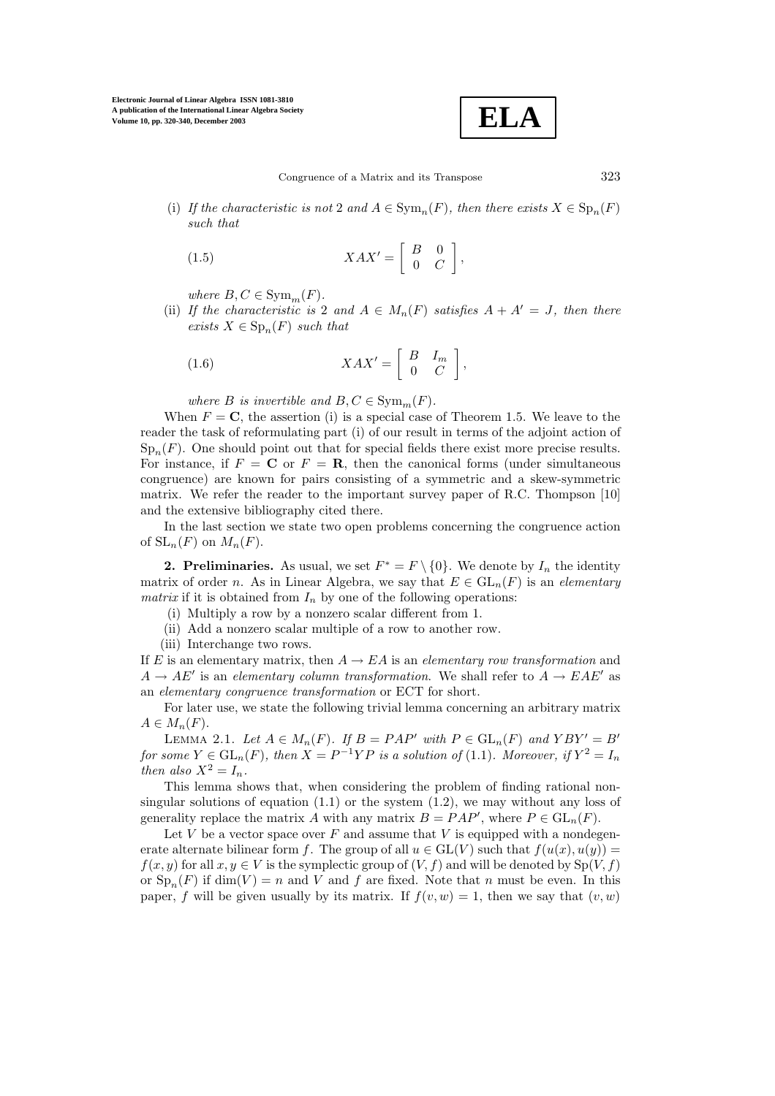$$
\boxed{\textbf{ELA}}
$$

(i) *If the characteristic is not* 2 *and*  $A \in \text{Sym}_n(F)$ *, then there exists*  $X \in \text{Sp}_n(F)$ *such that*

(1.5) 
$$
XAX' = \begin{bmatrix} B & 0 \\ 0 & C \end{bmatrix},
$$

*where*  $B, C \in \text{Sym}_m(F)$ *.* 

(ii) If the characteristic is 2 and  $A \in M_n(F)$  satisfies  $A + A' = J$ , then there *exists*  $X \in \mathrm{Sp}_n(F)$  *such that* 

(1.6) 
$$
XAX' = \begin{bmatrix} B & I_m \\ 0 & C \end{bmatrix},
$$

*where B is invertible and*  $B, C \in \text{Sym}_m(F)$ *.* 

When  $F = \mathbf{C}$ , the assertion (i) is a special case of Theorem 1.5. We leave to the reader the task of reformulating part (i) of our result in terms of the adjoint action of  $Sp_n(F)$ . One should point out that for special fields there exist more precise results. For instance, if  $F = \mathbf{C}$  or  $F = \mathbf{R}$ , then the canonical forms (under simultaneous congruence) are known for pairs consisting of a symmetric and a skew-symmetric matrix. We refer the reader to the important survey paper of R.C. Thompson [10] and the extensive bibliography cited there.

In the last section we state two open problems concerning the congruence action of  $SL_n(F)$  on  $M_n(F)$ .

**2. Preliminaries.** As usual, we set  $F^* = F \setminus \{0\}$ . We denote by  $I_n$  the identity matrix of order *n*. As in Linear Algebra, we say that  $E \in GL_n(F)$  is an *elementary matrix* if it is obtained from  $I_n$  by one of the following operations:

(i) Multiply a rowby a nonzero scalar different from 1.

(ii) Add a nonzero scalar multiple of a rowto another row.

(iii) Interchange two rows.

If E is an elementary matrix, then  $A \to EA$  is an *elementary row transformation* and  $A \to AE'$  is an *elementary column transformation*. We shall refer to  $A \to EAE'$  as an *elementary congruence transformation* or ECT for short.

For later use, we state the following trivial lemma concerning an arbitrary matrix  $A \in M_n(F)$ .

LEMMA 2.1. Let  $A \in M_n(F)$ . If  $B = PAP'$  with  $P \in GL_n(F)$  and  $YBY' = B'$ *for some*  $Y \in GL_n(F)$ *, then*  $X = P^{-1}YP$  *is a solution of* (1.1)*. Moreover, if*  $Y^2 = I_n$ *then also*  $X^2 = I_n$ *.* 

This lemma shows that, when considering the problem of finding rational nonsingular solutions of equation  $(1.1)$  or the system  $(1.2)$ , we may without any loss of generality replace the matrix A with any matrix  $B = PAP'$ , where  $P \in GL_n(F)$ .

Let  $V$  be a vector space over  $F$  and assume that  $V$  is equipped with a nondegenerate alternate bilinear form f. The group of all  $u \in GL(V)$  such that  $f(u(x), u(y)) =$  $f(x, y)$  for all  $x, y \in V$  is the symplectic group of  $(V, f)$  and will be denoted by  $Sp(V, f)$ or  $\text{Sp}_n(F)$  if  $\dim(V) = n$  and V and f are fixed. Note that n must be even. In this paper, f will be given usually by its matrix. If  $f(v, w) = 1$ , then we say that  $(v, w)$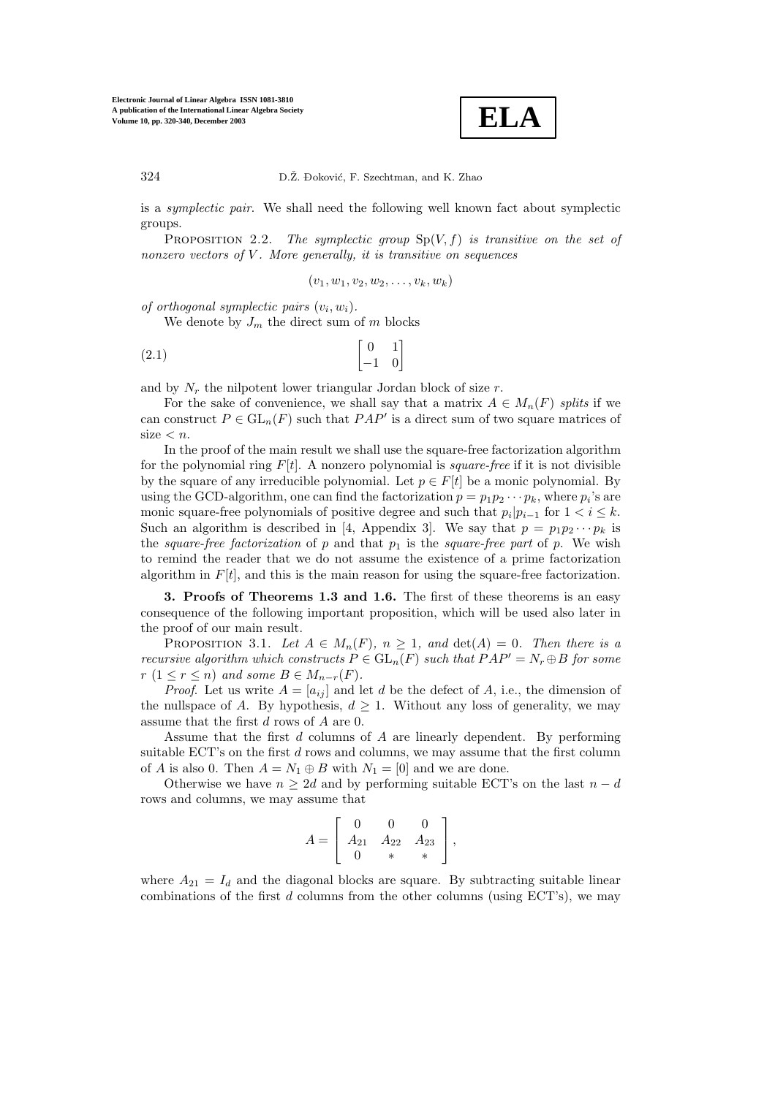

is a *symplectic pair*. We shall need the following well known fact about symplectic groups.

Proposition 2.2. *The symplectic group* Sp(V,f) *is transitive on the set of nonzero vectors of* V *. More generally, it is transitive on sequences*

$$
(v_1,w_1,v_2,w_2,\ldots,v_k,w_k)
$$

*of orthogonal symplectic pairs*  $(v_i, w_i)$ .

We denote by  $J_m$  the direct sum of m blocks

$$
\begin{bmatrix} 0 & 1 \\ -1 & 0 \end{bmatrix}
$$

and by  $N_r$  the nilpotent lower triangular Jordan block of size r.

For the sake of convenience, we shall say that a matrix  $A \in M_n(F)$  *splits* if we can construct  $P \in GL_n(F)$  such that  $PAP'$  is a direct sum of two square matrices of  $size < n$ .

In the proof of the main result we shall use the square-free factorization algorithm for the polynomial ring  $F[t]$ . A nonzero polynomial is *square-free* if it is not divisible by the square of any irreducible polynomial. Let  $p \in F[t]$  be a monic polynomial. By using the GCD-algorithm, one can find the factorization  $p = p_1p_2 \cdots p_k$ , where  $p_i$ 's are monic square-free polynomials of positive degree and such that  $p_i|p_{i-1}$  for  $1 < i \leq k$ . Such an algorithm is described in [4, Appendix 3]. We say that  $p = p_1p_2\cdots p_k$  is the *square-free factorization* of p and that  $p_1$  is the *square-free part* of p. We wish to remind the reader that we do not assume the existence of a prime factorization algorithm in  $F[t]$ , and this is the main reason for using the square-free factorization.

**3. Proofs of Theorems 1.3 and 1.6.** The first of these theorems is an easy consequence of the following important proposition, which will be used also later in the proof of our main result.

PROPOSITION 3.1. Let  $A \in M_n(F)$ ,  $n \geq 1$ , and  $\det(A) = 0$ . Then there is a *recursive algorithm which constructs*  $P \in GL_n(F)$  *such that*  $PAP' = N_r \oplus B$  *for some*  $r (1 \leq r \leq n)$  *and some*  $B \in M_{n-r}(F)$ *.* 

*Proof.* Let us write  $A = [a_{ij}]$  and let d be the defect of A, i.e., the dimension of the nullspace of A. By hypothesis,  $d \geq 1$ . Without any loss of generality, we may assume that the first d rows of A are 0.

Assume that the first  $d$  columns of  $A$  are linearly dependent. By performing suitable ECT's on the first d rows and columns, we may assume that the first column of A is also 0. Then  $A = N_1 \oplus B$  with  $N_1 = [0]$  and we are done.

Otherwise we have  $n \geq 2d$  and by performing suitable ECT's on the last  $n - d$ rows and columns, we may assume that

$$
A = \left[ \begin{array}{ccc} 0 & 0 & 0 \\ A_{21} & A_{22} & A_{23} \\ 0 & * & * \end{array} \right],
$$

where  $A_{21} = I_d$  and the diagonal blocks are square. By subtracting suitable linear combinations of the first d columns from the other columns (using  $ECT$ 's), we may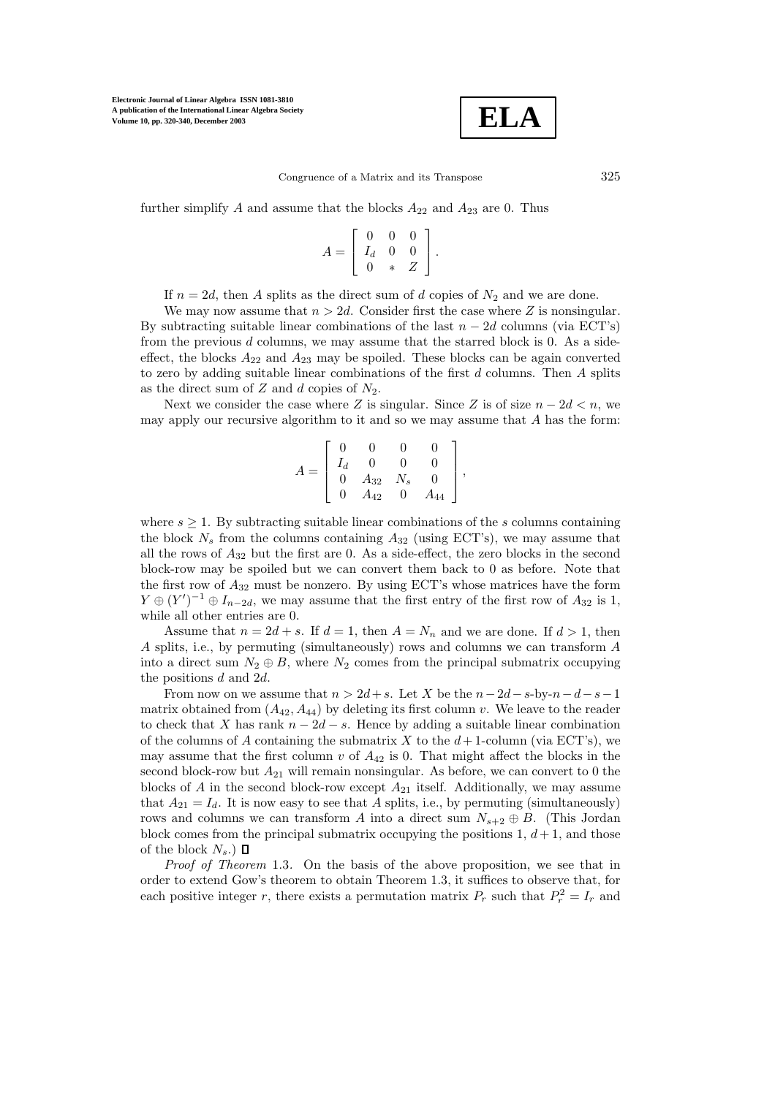

further simplify A and assume that the blocks  $A_{22}$  and  $A_{23}$  are 0. Thus

$$
A = \left[ \begin{array}{ccc} 0 & 0 & 0 \\ I_d & 0 & 0 \\ 0 & * & Z \end{array} \right].
$$

If  $n = 2d$ , then A splits as the direct sum of d copies of  $N_2$  and we are done.

We may now assume that  $n > 2d$ . Consider first the case where Z is nonsingular. By subtracting suitable linear combinations of the last  $n - 2d$  columns (via ECT's) from the previous d columns, we may assume that the starred block is 0. As a sideeffect, the blocks  $A_{22}$  and  $A_{23}$  may be spoiled. These blocks can be again converted to zero by adding suitable linear combinations of the first  $d$  columns. Then  $A$  splits as the direct sum of  $Z$  and  $d$  copies of  $N_2$ .

Next we consider the case where Z is singular. Since Z is of size  $n - 2d < n$ , we may apply our recursive algorithm to it and so we may assume that  $A$  has the form:

$$
A = \left[ \begin{array}{cccc} 0 & 0 & 0 & 0 \\ I_d & 0 & 0 & 0 \\ 0 & A_{32} & N_s & 0 \\ 0 & A_{42} & 0 & A_{44} \end{array} \right],
$$

where  $s \geq 1$ . By subtracting suitable linear combinations of the s columns containing the block  $N_s$  from the columns containing  $A_{32}$  (using ECT's), we may assume that all the rows of  $A_{32}$  but the first are 0. As a side-effect, the zero blocks in the second block-rowmay be spoiled but we can convert them back to 0 as before. Note that the first row of  $A_{32}$  must be nonzero. By using ECT's whose matrices have the form  $Y \oplus (Y')^{-1} \oplus I_{n-2d}$ , we may assume that the first entry of the first row of  $A_{32}$  is 1, while all other entries are 0.

Assume that  $n = 2d + s$ . If  $d = 1$ , then  $A = N_n$  and we are done. If  $d > 1$ , then A splits, i.e., by permuting (simultaneously) rows and columns we can transform A into a direct sum  $N_2 \oplus B$ , where  $N_2$  comes from the principal submatrix occupying the positions d and 2d.

From now on we assume that  $n > 2d+s$ . Let X be the  $n-2d-s-by-n-d-s-1$ matrix obtained from  $(A_{42}, A_{44})$  by deleting its first column v. We leave to the reader to check that X has rank  $n - 2d - s$ . Hence by adding a suitable linear combination of the columns of A containing the submatrix X to the  $d+1$ -column (via ECT's), we may assume that the first column  $v$  of  $A_{42}$  is 0. That might affect the blocks in the second block-row but  $A_{21}$  will remain nonsingular. As before, we can convert to 0 the blocks of A in the second block-row except  $A_{21}$  itself. Additionally, we may assume that  $A_{21} = I_d$ . It is now easy to see that A splits, i.e., by permuting (simultaneously) rows and columns we can transform A into a direct sum  $N_{s+2} \oplus B$ . (This Jordan block comes from the principal submatrix occupying the positions  $1, d+1$ , and those of the block  $N_s$ .)  $\Box$ 

*Proof of Theorem* 1.3*.* On the basis of the above proposition, we see that in order to extend Gow's theorem to obtain Theorem 1.3, it suffices to observe that, for each positive integer r, there exists a permutation matrix  $P_r$  such that  $P_r^2 = I_r$  and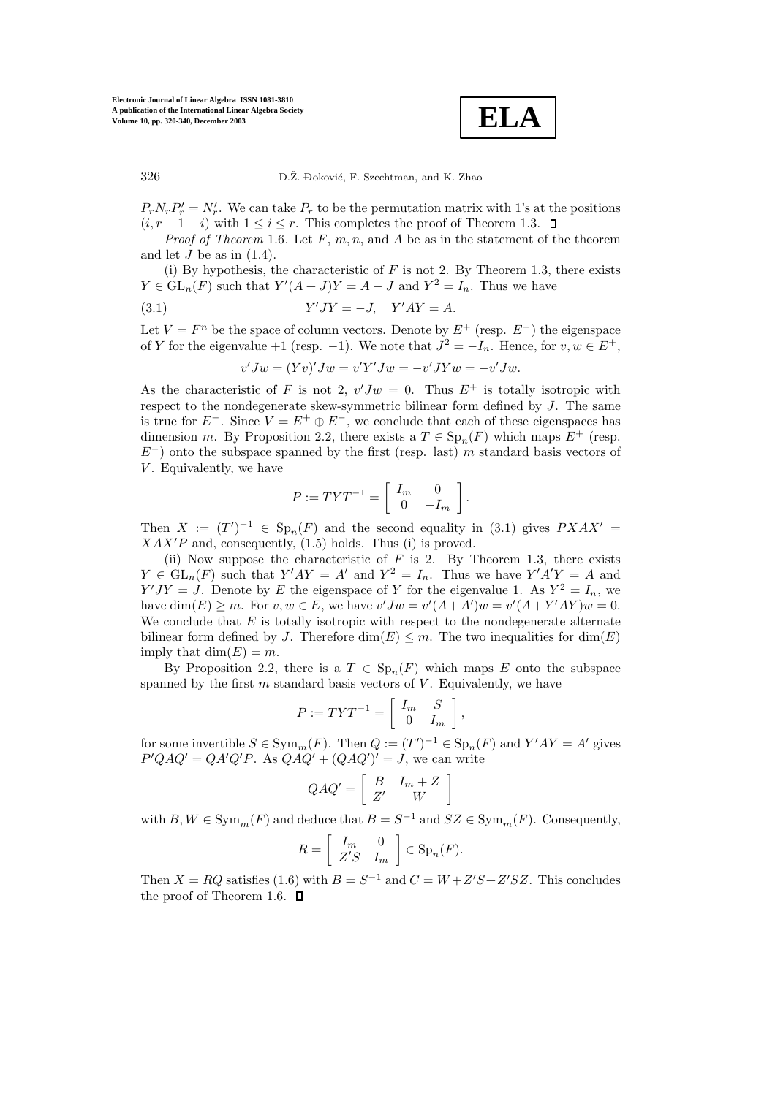

 $P_r N_r P'_r = N'_r$ . We can take  $P_r$  to be the permutation matrix with 1's at the positions  $(i, r+1-i)$  with  $1 \leq i \leq r$ . This completes the proof of Theorem 1.3.  $\Box$ 

*Proof of Theorem* 1.6. Let  $F, m, n$ , and  $A$  be as in the statement of the theorem and let  $J$  be as in  $(1.4)$ .

(i) By hypothesis, the characteristic of  $F$  is not 2. By Theorem 1.3, there exists  $Y \in GL_n(F)$  such that  $Y'(A+J)Y = A - J$  and  $Y^2 = I_n$ . Thus we have

$$
(3.1) \t\t Y'JY = -J, \quad Y'AY = A.
$$

Let  $V = F<sup>n</sup>$  be the space of column vectors. Denote by  $E<sup>+</sup>$  (resp.  $E<sup>-</sup>$ ) the eigenspace of Y for the eigenvalue +1 (resp. -1). We note that  $J^2 = -I_n$ . Hence, for  $v, w \in E^+$ ,

$$
v'Jw = (Yv)'Jw = v'Y'Jw = -v'JYw = -v'Jw.
$$

As the characteristic of F is not 2,  $v'Jw = 0$ . Thus  $E^+$  is totally isotropic with respect to the nondegenerate skew-symmetric bilinear form defined by  $J$ . The same is true for  $E^-$ . Since  $V = E^+ \oplus E^-$ , we conclude that each of these eigenspaces has dimension m. By Proposition 2.2, there exists a  $T \in \mathrm{Sp}_n(F)$  which maps  $E^+$  (resp.  $E^-$ ) onto the subspace spanned by the first (resp. last) m standard basis vectors of  $V$ . Equivalently, we have

$$
P := TYT^{-1} = \left[ \begin{array}{cc} I_m & 0 \\ 0 & -I_m \end{array} \right].
$$

Then  $X := (T')^{-1} \in Sp_n(F)$  and the second equality in (3.1) gives  $PXAX' =$  $XAX'P$  and, consequently,  $(1.5)$  holds. Thus (i) is proved.

(ii) Now suppose the characteristic of  $F$  is 2. By Theorem 1.3, there exists  $Y \in GL_n(F)$  such that  $Y'AY = A'$  and  $Y^2 = I_n$ . Thus we have  $Y'A'Y = A$  and  $Y'JY = J$ . Denote by E the eigenspace of Y for the eigenvalue 1. As  $Y^2 = I_n$ , we have  $\dim(E) \geq m$ . For  $v, w \in E$ , we have  $v'Jw = v'(A+A')w = v'(A+Y'AY)w = 0$ . We conclude that  $E$  is totally isotropic with respect to the nondegenerate alternate bilinear form defined by J. Therefore  $\dim(E) \leq m$ . The two inequalities for  $\dim(E)$ imply that  $\dim(E) = m$ .

By Proposition 2.2, there is a  $T \in \text{Sp}_n(F)$  which maps E onto the subspace spanned by the first  $m$  standard basis vectors of  $V$ . Equivalently, we have

$$
P := TYT^{-1} = \left[ \begin{array}{cc} I_m & S \\ 0 & I_m \end{array} \right],
$$

for some invertible  $S \in \text{Sym}_m(F)$ . Then  $Q := (T')^{-1} \in \text{Sp}_n(F)$  and  $Y'AY = A'$  gives  $P'QAQ' = QA'Q'P$ . As  $QAQ' + (QAQ')' = J$ , we can write

$$
QAQ' = \left[ \begin{array}{cc} B & I_m + Z \\ Z' & W \end{array} \right]
$$

with  $B, W \in \text{Sym}_m(F)$  and deduce that  $B = S^{-1}$  and  $SZ \in \text{Sym}_m(F)$ . Consequently,

$$
R = \left[ \begin{array}{cc} I_m & 0 \\ Z'S & I_m \end{array} \right] \in \text{Sp}_n(F).
$$

Then  $X = RQ$  satisfies (1.6) with  $B = S^{-1}$  and  $C = W + Z'S + Z'SZ$ . This concludes the proof of Theorem 1.6.  $\Box$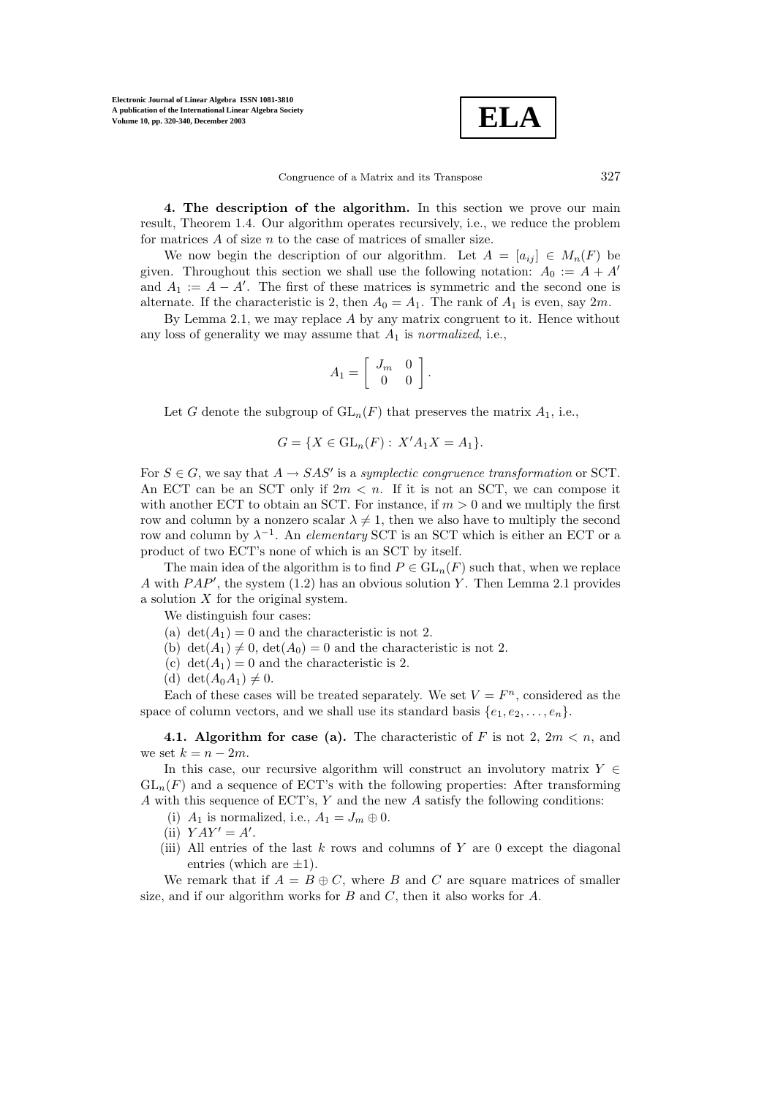$$
\boxed{\text{ELA}}
$$

**4. The description of the algorithm.** In this section we prove our main result, Theorem 1.4. Our algorithm operates recursively, i.e., we reduce the problem for matrices  $A$  of size  $n$  to the case of matrices of smaller size.

We now begin the description of our algorithm. Let  $A = [a_{ij}] \in M_n(F)$  be given. Throughout this section we shall use the following notation:  $A_0 := A + A'$ and  $A_1 := A - A'$ . The first of these matrices is symmetric and the second one is alternate. If the characteristic is 2, then  $A_0 = A_1$ . The rank of  $A_1$  is even, say  $2m$ .

By Lemma 2.1, we may replace  $A$  by any matrix congruent to it. Hence without any loss of generality we may assume that A<sup>1</sup> is *normalized*, i.e.,

$$
A_1 = \left[ \begin{array}{cc} J_m & 0 \\ 0 & 0 \end{array} \right].
$$

Let G denote the subgroup of  $GL_n(F)$  that preserves the matrix  $A_1$ , i.e.,

$$
G = \{ X \in GL_n(F) : X'A_1X = A_1 \}.
$$

For  $S \in G$ , we say that  $A \to SAS'$  is a *symplectic congruence transformation* or SCT. An ECT can be an SCT only if  $2m < n$ . If it is not an SCT, we can compose it with another ECT to obtain an SCT. For instance, if  $m > 0$  and we multiply the first row and column by a nonzero scalar  $\lambda \neq 1$ , then we also have to multiply the second row and column by  $\lambda^{-1}$ . An *elementary* SCT is an SCT which is either an ECT or a product of two ECT's none of which is an SCT by itself.

The main idea of the algorithm is to find  $P \in GL_n(F)$  such that, when we replace A with  $PAP'$ , the system  $(1.2)$  has an obvious solution Y. Then Lemma 2.1 provides a solution  $X$  for the original system.

We distinguish four cases:

- (a)  $\det(A_1) = 0$  and the characteristic is not 2.
- (b)  $\det(A_1) \neq 0$ ,  $\det(A_0) = 0$  and the characteristic is not 2.
- (c) det( $A_1$ ) = 0 and the characteristic is 2.
- (d) det $(A_0A_1) \neq 0$ .

Each of these cases will be treated separately. We set  $V = F<sup>n</sup>$ , considered as the space of column vectors, and we shall use its standard basis  $\{e_1, e_2, \ldots, e_n\}$ .

**4.1. Algorithm for case (a).** The characteristic of F is not 2,  $2m < n$ , and we set  $k = n - 2m$ .

In this case, our recursive algorithm will construct an involutory matrix  $Y \in$  $GL_n(F)$  and a sequence of ECT's with the following properties: After transforming A with this sequence of ECT's, Y and the new A satisfy the following conditions:

- (i)  $A_1$  is normalized, i.e.,  $A_1 = J_m \oplus 0$ .
- (ii)  $YAY' = A'$ .
- (iii) All entries of the last  $k$  rows and columns of  $Y$  are 0 except the diagonal entries (which are  $\pm 1$ ).

We remark that if  $A = B \oplus C$ , where B and C are square matrices of smaller size, and if our algorithm works for  $B$  and  $C$ , then it also works for  $A$ .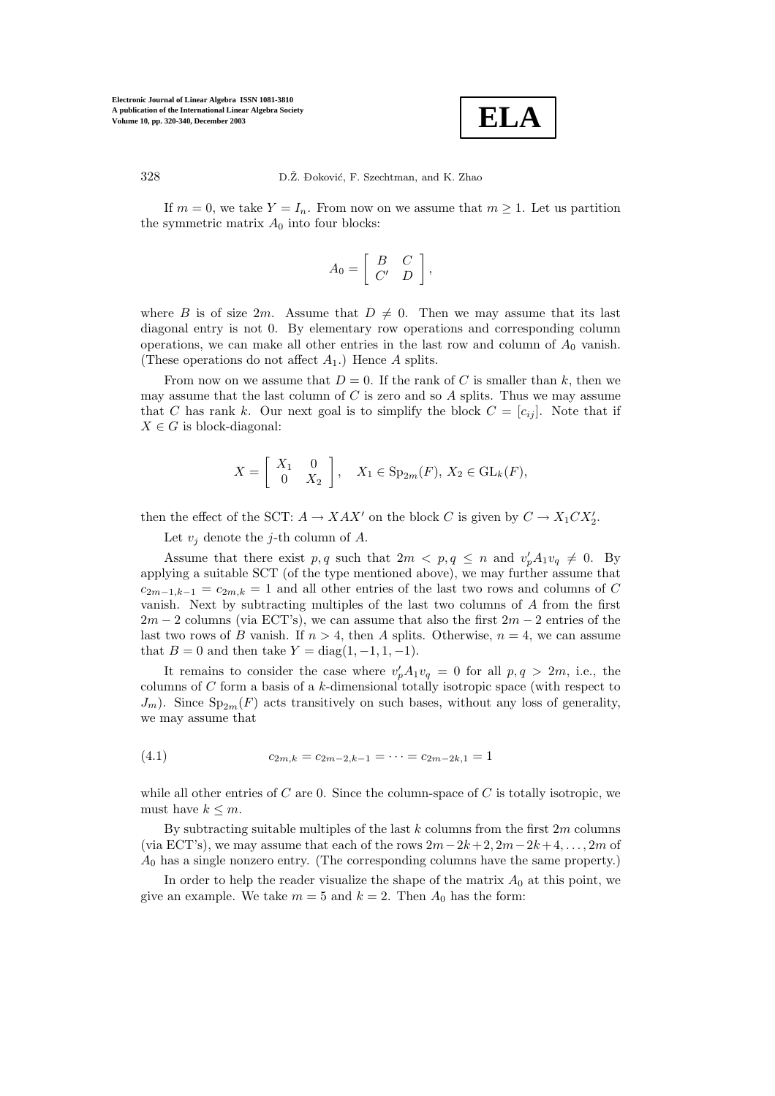

328 D.Ž. Đoković, F. Szechtman, and K. Zhao

If  $m = 0$ , we take  $Y = I_n$ . From now on we assume that  $m \geq 1$ . Let us partition the symmetric matrix  $A_0$  into four blocks:

$$
A_0 = \left[ \begin{array}{cc} B & C \\ C' & D \end{array} \right],
$$

where B is of size 2m. Assume that  $D \neq 0$ . Then we may assume that its last diagonal entry is not 0. By elementary rowoperations and corresponding column operations, we can make all other entries in the last row and column of  $A_0$  vanish. (These operations do not affect  $A_1$ .) Hence A splits.

From now on we assume that  $D = 0$ . If the rank of C is smaller than k, then we may assume that the last column of  $C$  is zero and so  $A$  splits. Thus we may assume that C has rank k. Our next goal is to simplify the block  $C = [c_{ij}]$ . Note that if  $X \in G$  is block-diagonal:

$$
X = \left[\begin{array}{cc} X_1 & 0 \\ 0 & X_2 \end{array}\right], \quad X_1 \in \text{Sp}_{2m}(F), \ X_2 \in \text{GL}_k(F),
$$

then the effect of the SCT:  $A \to XAX'$  on the block C is given by  $C \to X_1CX_2'.$ 

Let  $v_j$  denote the j-th column of A.

Assume that there exist p, q such that  $2m < p, q \leq n$  and  $v'_p A_1 v_q \neq 0$ . By applying a suitable SCT (of the type mentioned above), we may further assume that  $c_{2m-1,k-1} = c_{2m,k} = 1$  and all other entries of the last two rows and columns of C vanish. Next by subtracting multiples of the last two columns of A from the first  $2m - 2$  columns (via ECT's), we can assume that also the first  $2m - 2$  entries of the last two rows of B vanish. If  $n > 4$ , then A splits. Otherwise,  $n = 4$ , we can assume that  $B = 0$  and then take  $Y = \text{diag}(1, -1, 1, -1)$ .

It remains to consider the case where  $v_p'A_1v_q = 0$  for all  $p, q > 2m$ , i.e., the columns of  $C$  form a basis of a  $k$ -dimensional totally isotropic space (with respect to  $J_m$ ). Since  $Sp_{2m}(F)$  acts transitively on such bases, without any loss of generality, we may assume that

(4.1) 
$$
c_{2m,k} = c_{2m-2,k-1} = \cdots = c_{2m-2k,1} = 1
$$

while all other entries of C are 0. Since the column-space of C is totally isotropic, we must have  $k \leq m$ .

By subtracting suitable multiples of the last  $k$  columns from the first  $2m$  columns (via ECT's), we may assume that each of the rows  $2m-2k+2$ ,  $2m-2k+4$ ,..., 2m of  $A_0$  has a single nonzero entry. (The corresponding columns have the same property.)

In order to help the reader visualize the shape of the matrix  $A_0$  at this point, we give an example. We take  $m = 5$  and  $k = 2$ . Then  $A_0$  has the form: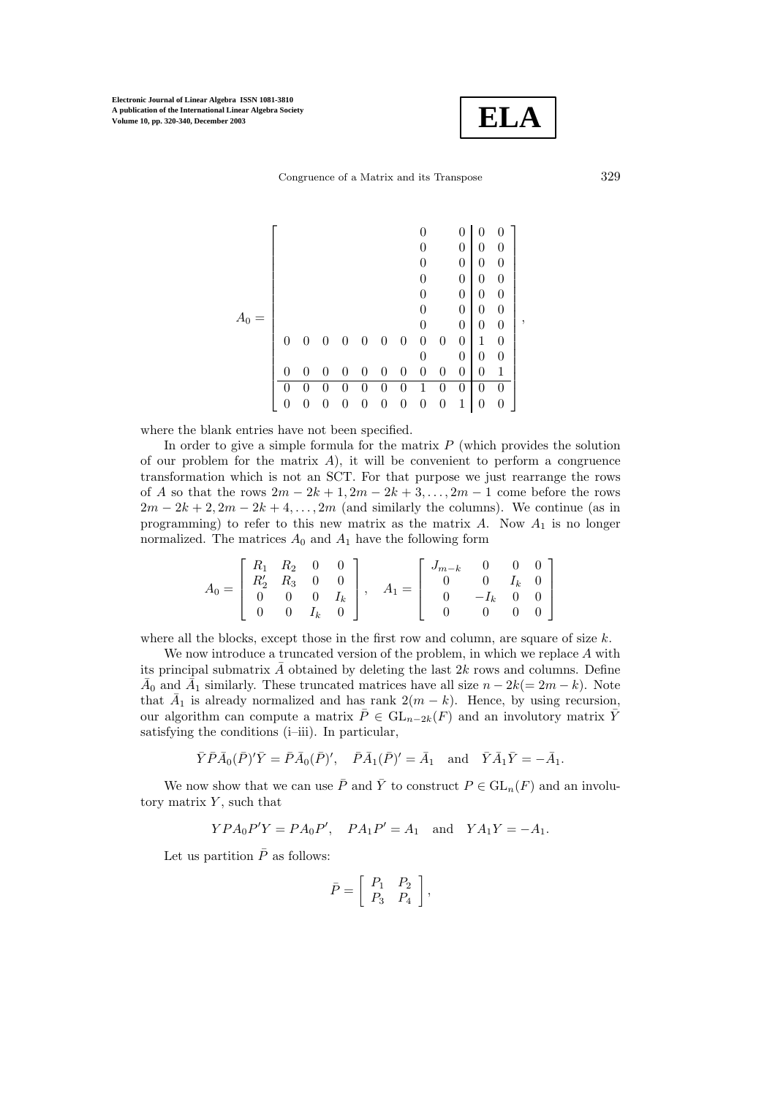

Congruence of a Matrix and its Transpose 329

|          |                  |                |   |   |                  |                  |                |   | $\boldsymbol{0}$ | $\boldsymbol{0}$ | 0                |   |
|----------|------------------|----------------|---|---|------------------|------------------|----------------|---|------------------|------------------|------------------|---|
|          |                  |                |   |   |                  |                  |                |   | 0                | 0                | 0                |   |
|          |                  |                |   |   |                  |                  |                |   | $\overline{0}$   | 0                | 0                |   |
|          |                  |                |   |   |                  |                  | 0              |   | $\overline{0}$   | 0                | 0                |   |
|          |                  |                |   |   |                  |                  | 0              |   | $\overline{0}$   | $\overline{0}$   | $\boldsymbol{0}$ |   |
|          |                  |                |   |   |                  |                  | 0              |   | $\theta$         | 0                | 0                |   |
|          |                  |                |   |   |                  |                  | 0              |   | $\theta$         | 0                | $\boldsymbol{0}$ | , |
| $\theta$ | $\theta$         | $\overline{0}$ | 0 | 0 | 0                | 0                | $\overline{0}$ | 0 | $\overline{0}$   | 1                | $\boldsymbol{0}$ |   |
|          |                  |                |   |   |                  |                  |                |   | $\overline{0}$   | 0                | 0                |   |
| 0        | $\left( \right)$ | 0              | 0 | 0 | 0                | 0                | 0              | 0 | $\theta$         | 0                | 1                |   |
| 0        |                  | 0              | 0 | 0 | 0                | 0                | 1              | 0 | 0                | 0                | 0                |   |
| 0        |                  |                |   | 0 | $\boldsymbol{0}$ | $\boldsymbol{0}$ | 0              | 0 | 1                | 0                | 0                |   |
|          |                  |                |   |   |                  |                  |                |   |                  |                  |                  |   |

where the blank entries have not been specified.

In order to give a simple formula for the matrix  $P$  (which provides the solution of our problem for the matrix  $A$ ), it will be convenient to perform a congruence transformation which is not an SCT. For that purpose we just rearrange the rows of A so that the rows  $2m - 2k + 1$ ,  $2m - 2k + 3$ ,...,  $2m - 1$  come before the rows  $2m - 2k + 2$ ,  $2m - 2k + 4$ , ...,  $2m$  (and similarly the columns). We continue (as in programming) to refer to this new matrix as the matrix  $A$ . Now  $A_1$  is no longer normalized. The matrices  $A_0$  and  $A_1$  have the following form

$$
A_0 = \left[ \begin{array}{cccc} R_1 & R_2 & 0 & 0 \\ R'_2 & R_3 & 0 & 0 \\ 0 & 0 & 0 & I_k \\ 0 & 0 & I_k & 0 \end{array} \right], \quad A_1 = \left[ \begin{array}{cccc} J_{m-k} & 0 & 0 & 0 \\ 0 & 0 & I_k & 0 \\ 0 & -I_k & 0 & 0 \\ 0 & 0 & 0 & 0 \end{array} \right]
$$

where all the blocks, except those in the first row and column, are square of size  $k$ .

We now introduce a truncated version of the problem, in which we replace  $A$  with its principal submatrix  $\tilde{A}$  obtained by deleting the last  $2k$  rows and columns. Define  $A_0$  and  $A_1$  similarly. These truncated matrices have all size  $n - 2k(= 2m - k)$ . Note that  $\bar{A}_1$  is already normalized and has rank  $2(m - k)$ . Hence, by using recursion, our algorithm can compute a matrix  $\overline{P} \in GL_{n-2k}(F)$  and an involutory matrix  $\overline{Y}$ satisfying the conditions (i–iii). In particular,

$$
\bar{Y}\bar{P}\bar{A}_0(\bar{P})'\bar{Y}=\bar{P}\bar{A}_0(\bar{P})',\quad \bar{P}\bar{A}_1(\bar{P})'=\bar{A}_1\quad \text{and}\quad \bar{Y}\bar{A}_1\bar{Y}=-\bar{A}_1.
$$

We now show that we can use  $\overline{P}$  and  $\overline{Y}$  to construct  $P \in GL_n(F)$  and an involutory matrix  $Y$ , such that

 $YPA_0P'Y = PA_0P', PA_1P' = A_1$  and  $YA_1Y = -A_1.$ 

Let us partition  $\bar{P}$  as follows:

$$
\bar{P} = \left[ \begin{array}{cc} P_1 & P_2 \\ P_3 & P_4 \end{array} \right],
$$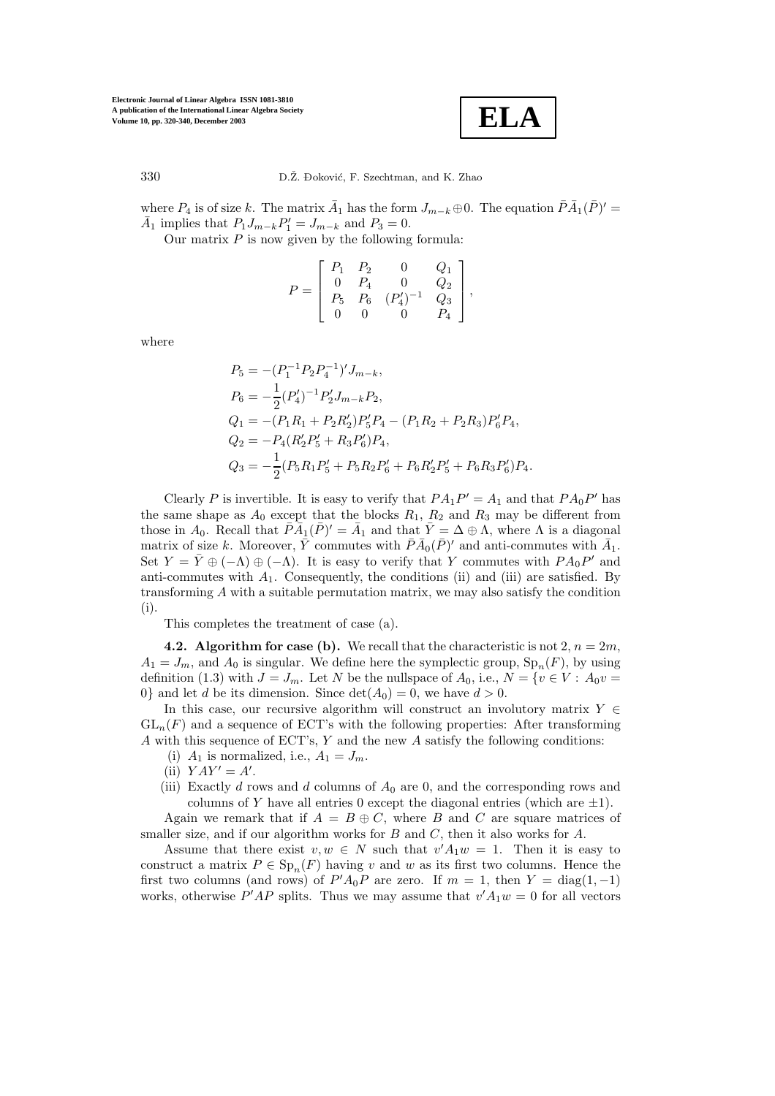

330 D.Ž. Đoković, F. Szechtman, and K. Zhao

where  $P_4$  is of size k. The matrix  $\bar{A}_1$  has the form  $J_{m-k} \oplus 0$ . The equation  $\bar{P}\bar{A}_1(\bar{P})' =$  $\bar{A}_1$  implies that  $P_1 J_{m-k} P_1' = J_{m-k}$  and  $P_3 = 0$ .

Our matrix  $P$  is now given by the following formula:

$$
P = \left[ \begin{array}{cccc} P_1 & P_2 & 0 & Q_1 \\ 0 & P_4 & 0 & Q_2 \\ P_5 & P_6 & (P'_4)^{-1} & Q_3 \\ 0 & 0 & 0 & P_4 \end{array} \right],
$$

where

$$
P_5 = -(P_1^{-1}P_2P_4^{-1})'J_{m-k},
$$
  
\n
$$
P_6 = -\frac{1}{2}(P_4')^{-1}P_2'J_{m-k}P_2,
$$
  
\n
$$
Q_1 = -(P_1R_1 + P_2R_2')P_5'P_4 - (P_1R_2 + P_2R_3)P_6'P_4,
$$
  
\n
$$
Q_2 = -P_4(R_2'P_5' + R_3P_6')P_4,
$$
  
\n
$$
Q_3 = -\frac{1}{2}(P_5R_1P_5' + P_5R_2P_6' + P_6R_2'P_5' + P_6R_3P_6')P_4.
$$

Clearly P is invertible. It is easy to verify that  $PA_1P'=A_1$  and that  $PA_0P'$  has the same shape as  $A_0$  except that the blocks  $R_1, R_2$  and  $R_3$  may be different from those in  $A_0$ . Recall that  $\bar{P}\bar{A}_1(\bar{P})' = \bar{A}_1$  and that  $\bar{Y} = \Delta \oplus \Lambda$ , where  $\Lambda$  is a diagonal matrix of size k. Moreover,  $\bar{Y}$  commutes with  $\bar{P}\bar{A}_0(\bar{P})'$  and anti-commutes with  $\bar{A}_1$ . Set  $Y = \overline{Y} \oplus (-\Lambda) \oplus (-\Lambda)$ . It is easy to verify that Y commutes with  $PA_0P'$  and anti-commutes with  $A_1$ . Consequently, the conditions (ii) and (iii) are satisfied. By transforming A with a suitable permutation matrix, we may also satisfy the condition (i).

This completes the treatment of case (a).

**4.2. Algorithm for case (b).** We recall that the characteristic is not  $2, n = 2m$ ,  $A_1 = J_m$ , and  $A_0$  is singular. We define here the symplectic group,  $Sp_n(F)$ , by using definition (1.3) with  $J = J_m$ . Let N be the nullspace of  $A_0$ , i.e.,  $N = \{v \in V : A_0 v =$ 0} and let d be its dimension. Since  $\det(A_0) = 0$ , we have  $d > 0$ .

In this case, our recursive algorithm will construct an involutory matrix  $Y \in$  $GL_n(F)$  and a sequence of ECT's with the following properties: After transforming A with this sequence of ECT's,  $Y$  and the new A satisfy the following conditions:

- (i)  $A_1$  is normalized, i.e.,  $A_1 = J_m$ .
- (ii)  $YAY' = A'$ .
- (iii) Exactly d rows and d columns of  $A_0$  are 0, and the corresponding rows and columns of Y have all entries 0 except the diagonal entries (which are  $\pm 1$ ).

Again we remark that if  $A = B \oplus C$ , where B and C are square matrices of smaller size, and if our algorithm works for  $B$  and  $C$ , then it also works for  $A$ .

Assume that there exist  $v, w \in N$  such that  $v'A_1w = 1$ . Then it is easy to construct a matrix  $P \in Sp_n(F)$  having v and w as its first two columns. Hence the first two columns (and rows) of  $P'A_0P$  are zero. If  $m = 1$ , then  $Y = \text{diag}(1, -1)$ works, otherwise  $P'AP$  splits. Thus we may assume that  $v'A_1w = 0$  for all vectors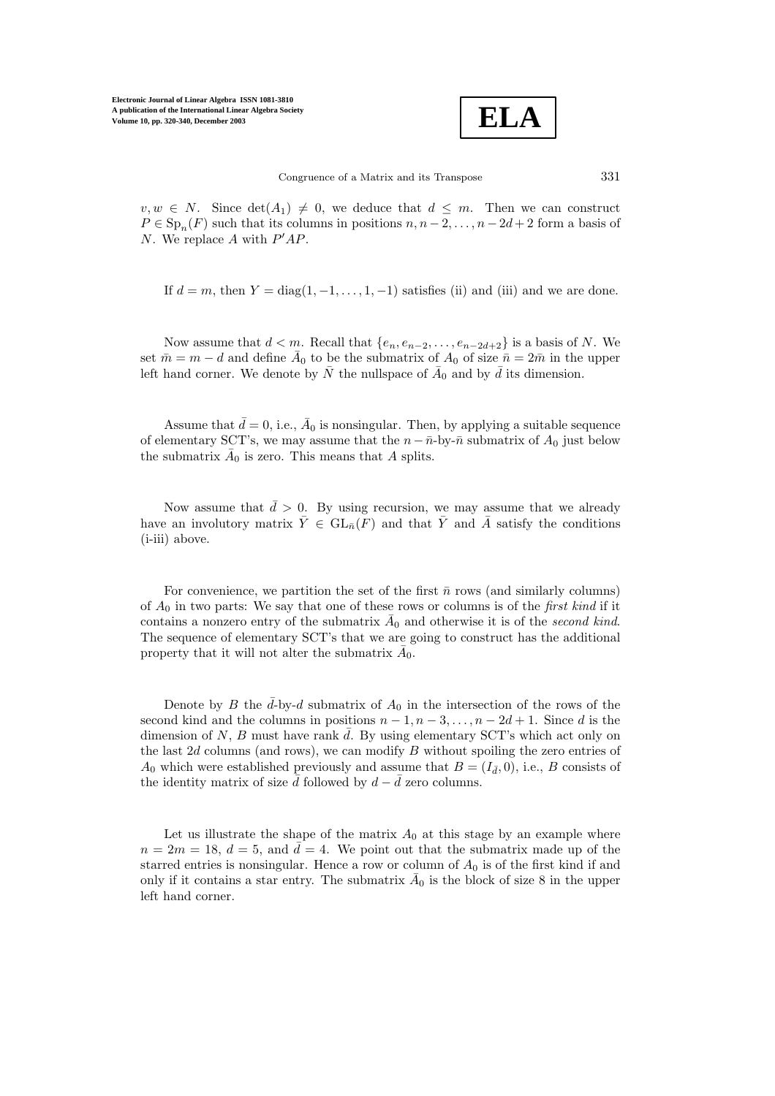

 $v, w \in N$ . Since  $\det(A_1) \neq 0$ , we deduce that  $d \leq m$ . Then we can construct  $P \in \text{Sp}_n(F)$  such that its columns in positions  $n, n-2, \ldots, n-2d+2$  form a basis of N. We replace A with  $P'AP$ .

If  $d = m$ , then  $Y = \text{diag}(1, -1, \ldots, 1, -1)$  satisfies (ii) and (iii) and we are done.

Now assume that  $d < m$ . Recall that  $\{e_n, e_{n-2}, \ldots, e_{n-2d+2}\}$  is a basis of N. We set  $\bar{m} = m - d$  and define  $\bar{A}_0$  to be the submatrix of  $A_0$  of size  $\bar{n} = 2\bar{m}$  in the upper left hand corner. We denote by  $\bar{N}$  the nullspace of  $\bar{A}_0$  and by  $\bar{d}$  its dimension.

Assume that  $\bar{d} = 0$ , i.e.,  $\bar{A}_0$  is nonsingular. Then, by applying a suitable sequence of elementary SCT's, we may assume that the  $n - \bar{n}$ -by- $\bar{n}$  submatrix of  $A_0$  just below the submatrix  $\overline{A}_0$  is zero. This means that A splits.

Now assume that  $\bar{d} > 0$ . By using recursion, we may assume that we already have an involutory matrix  $\bar{Y} \in GL_{\bar{n}}(F)$  and that  $\bar{Y}$  and  $\bar{A}$  satisfy the conditions (i-iii) above.

For convenience, we partition the set of the first  $\bar{n}$  rows (and similarly columns) of  $A_0$  in two parts: We say that one of these rows or columns is of the *first kind* if it contains a nonzero entry of the submatrix  $\overline{A}_0$  and otherwise it is of the *second kind*. The sequence of elementary SCT's that we are going to construct has the additional property that it will not alter the submatrix  $\bar{A}_0$ .

Denote by B the  $\bar{d}$ -by-d submatrix of  $A_0$  in the intersection of the rows of the second kind and the columns in positions  $n-1, n-3, \ldots, n-2d+1$ . Since d is the dimension of N, B must have rank  $\overline{d}$ . By using elementary SCT's which act only on the last  $2d$  columns (and rows), we can modify  $B$  without spoiling the zero entries of  $A_0$  which were established previously and assume that  $B = (I_{\bar{d}}, 0)$ , i.e., B consists of the identity matrix of size  $\bar{d}$  followed by  $d - \bar{d}$  zero columns.

Let us illustrate the shape of the matrix  $A_0$  at this stage by an example where  $n = 2m = 18$ ,  $d = 5$ , and  $\overline{d} = 4$ . We point out that the submatrix made up of the starred entries is nonsingular. Hence a row or column of  $A_0$  is of the first kind if and only if it contains a star entry. The submatrix  $\bar{A}_0$  is the block of size 8 in the upper left hand corner.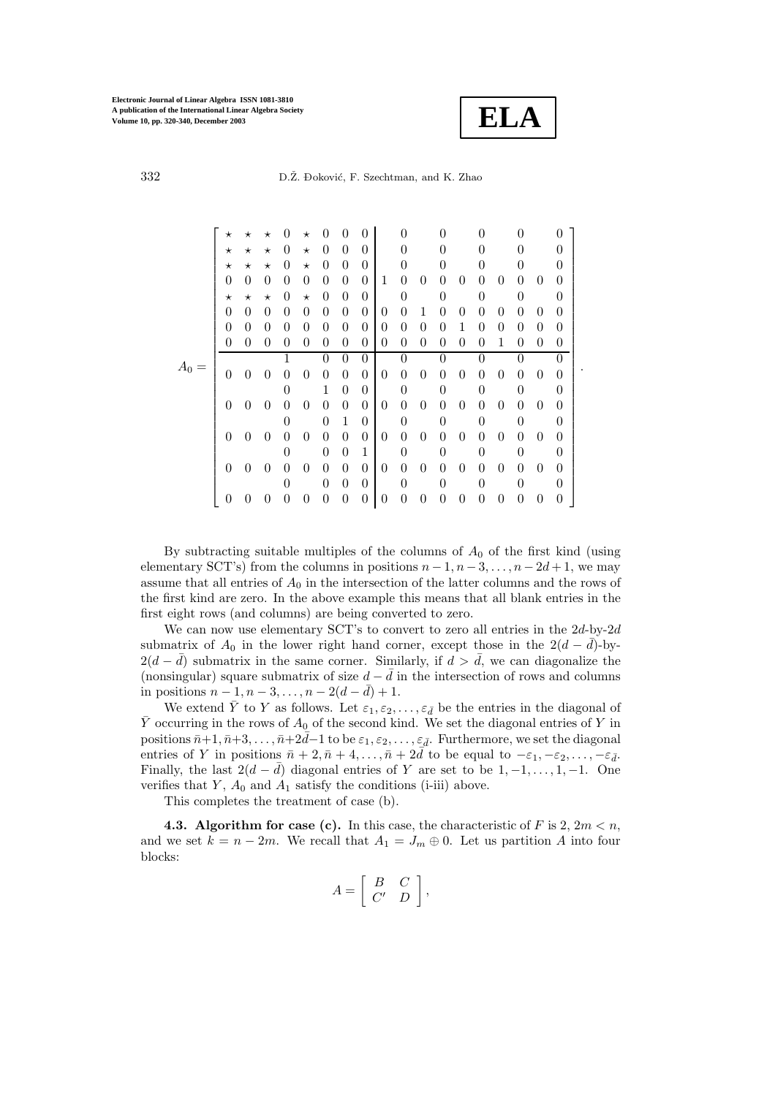

.

| 332 | D.Z. Đoković, F. Szechtman, and K. Zhao |  |
|-----|-----------------------------------------|--|
|-----|-----------------------------------------|--|

|    | $^\star$       | $^\star$       | $^\star$ | $\theta$       | $^\star$ |                  |                | $\cup$         |                |                  |                |          |                  |                |                |          |                |          |  |
|----|----------------|----------------|----------|----------------|----------|------------------|----------------|----------------|----------------|------------------|----------------|----------|------------------|----------------|----------------|----------|----------------|----------|--|
|    | $^\star$       | $^{\star}$     | $^\star$ | 0              | $\star$  | $\theta$         | 0              | $\Omega$       |                |                  |                | 0        |                  | 0              |                |          |                | $\Omega$ |  |
|    | $^\star$       | $^\star$       | $^\star$ | $\theta$       | $\star$  | 0                | 0              | $\theta$       |                | 0                |                | 0        |                  | 0              |                | 0        |                | $\Omega$ |  |
|    | $\Omega$       | $\theta$       | 0        | 0              | $\theta$ | 0                | 0              | $\theta$       | 1              | $\overline{0}$   | $\overline{0}$ | 0        | 0                | $\theta$       | $\theta$       | $\theta$ | 0              | 0        |  |
|    | $\star$        | $^\star$       | $^\star$ | $\theta$       | $\star$  | 0                | 0              | $\theta$       |                | 0                |                | 0        |                  | 0              |                | $\theta$ |                | $\Omega$ |  |
|    | $\overline{0}$ | 0              | 0        | 0              | $\theta$ | 0                | 0              | $\theta$       | $\theta$       | $\boldsymbol{0}$ | 1              | 0        | 0                | $\theta$       | $\theta$       | $\theta$ | $\theta$       | 0        |  |
|    | $\theta$       | 0              | $\theta$ | $\theta$       | $\theta$ | $\theta$         | 0              | $\theta$       | $\theta$       | $\overline{0}$   | $\overline{0}$ | 0        | 1                | $\Omega$       | $\theta$       | $\theta$ | 0              | 0        |  |
|    | $\overline{0}$ | 0              | $\theta$ | $\overline{0}$ | $\theta$ | $\Omega$         | 0              | $\theta$       | $\theta$       | $\boldsymbol{0}$ | $\overline{0}$ | 0        | 0                | $\Omega$       | 1              | $\theta$ | 0              | 0        |  |
|    |                |                |          |                |          | $\left( \right)$ | 0              | 0              |                | 0                |                | 0        |                  |                |                |          |                | ∩        |  |
| Aο | $\theta$       | 0              | 0        | $\theta$       | 0        | $\theta$         | $\theta$       | $\theta$       | $\theta$       | $\overline{0}$   | $\theta$       | 0        | 0                | $\Omega$       | $\theta$       | $\theta$ | $\theta$       | 0        |  |
|    |                |                |          | $\overline{0}$ |          | 1                | $\theta$       | $\theta$       |                | 0                |                | 0        |                  | 0              |                | $\theta$ |                | $\Omega$ |  |
|    | $\theta$       | $\theta$       | $\theta$ | $\theta$       | $\theta$ | $\overline{0}$   | $\theta$       | $\theta$       | $\theta$       | $\boldsymbol{0}$ | $\theta$       | $\theta$ | $\overline{0}$   | $\theta$       | $\overline{0}$ | $\theta$ | $\theta$       | 0        |  |
|    |                |                |          | $\theta$       |          | $\theta$         | 1              | $\theta$       |                | 0                |                | 0        |                  | $\overline{0}$ |                | $\theta$ |                | $\Omega$ |  |
|    | $\theta$       | $\theta$       | $\theta$ | $\theta$       | $\theta$ | $\overline{0}$   | $\theta$       | $\theta$       | $\theta$       | $\theta$         | $\theta$       | $\theta$ | 0                | $\theta$       | $\theta$       | $\theta$ | $\theta$       | 0        |  |
|    |                |                |          | $\theta$       |          | $\theta$         | $\overline{0}$ | 1              |                | 0                |                | 0        |                  | 0              |                | $\theta$ |                | $\Omega$ |  |
|    | $\theta$       | $\overline{0}$ | $\theta$ | $\theta$       | $\theta$ | $\overline{0}$   | $\theta$       | $\theta$       | $\theta$       | $\boldsymbol{0}$ | $\theta$       | $\theta$ | 0                | $\theta$       | $\theta$       | $\theta$ | $\overline{0}$ | 0        |  |
|    |                |                |          | $\theta$       |          | $\theta$         | $\theta$       | $\theta$       |                | 0                |                | 0        |                  | $\theta$       |                | $\theta$ |                | 0        |  |
|    | $\theta$       |                | 0        | $\overline{0}$ | $\theta$ | 0                | 0              | $\overline{0}$ | $\overline{0}$ | $\boldsymbol{0}$ | 0              | 0        | $\left( \right)$ | $\theta$       | $\theta$       | $\theta$ | 0              | 0        |  |

By subtracting suitable multiples of the columns of  $A_0$  of the first kind (using elementary SCT's) from the columns in positions  $n-1, n-3, \ldots, n-2d+1$ , we may assume that all entries of  $A_0$  in the intersection of the latter columns and the rows of the first kind are zero. In the above example this means that all blank entries in the first eight rows (and columns) are being converted to zero.

We can now use elementary SCT's to convert to zero all entries in the  $2d$ -by- $2d$ submatrix of  $A_0$  in the lower right hand corner, except those in the  $2(d - \overline{d})$ -by- $2(d - \bar{d})$  submatrix in the same corner. Similarly, if  $d > \bar{d}$ , we can diagonalize the (nonsingular) square submatrix of size  $d - \bar{d}$  in the intersection of rows and columns in positions  $n-1, n-3, ..., n-2(d - \bar{d})+1$ .

We extend  $\overline{Y}$  to Y as follows. Let  $\varepsilon_1, \varepsilon_2, \ldots, \varepsilon_{\overline{d}}$  be the entries in the diagonal of  $\bar{Y}$  occurring in the rows of  $A_0$  of the second kind. We set the diagonal entries of Y in positions  $\bar{n+1}, \bar{n+3}, \ldots, \bar{n+2\bar{d}}-1$  to be  $\varepsilon_1, \varepsilon_2, \ldots, \varepsilon_{\bar{d}}$ . Furthermore, we set the diagonal entries of Y in positions  $\bar{n} + 2, \bar{n} + 4, \ldots, \bar{n} + 2\bar{d}$  to be equal to  $-\varepsilon_1, -\varepsilon_2, \ldots, -\varepsilon_{\bar{d}}$ . Finally, the last  $2(d - \bar{d})$  diagonal entries of Y are set to be  $1, -1, \ldots, 1, -1$ . One verifies that  $Y$ ,  $A_0$  and  $A_1$  satisfy the conditions (i-iii) above.

This completes the treatment of case (b).

**4.3. Algorithm for case (c).** In this case, the characteristic of F is 2,  $2m < n$ , and we set  $k = n - 2m$ . We recall that  $A_1 = J_m \oplus 0$ . Let us partition A into four blocks:

$$
A = \left[ \begin{array}{cc} B & C \\ C' & D \end{array} \right],
$$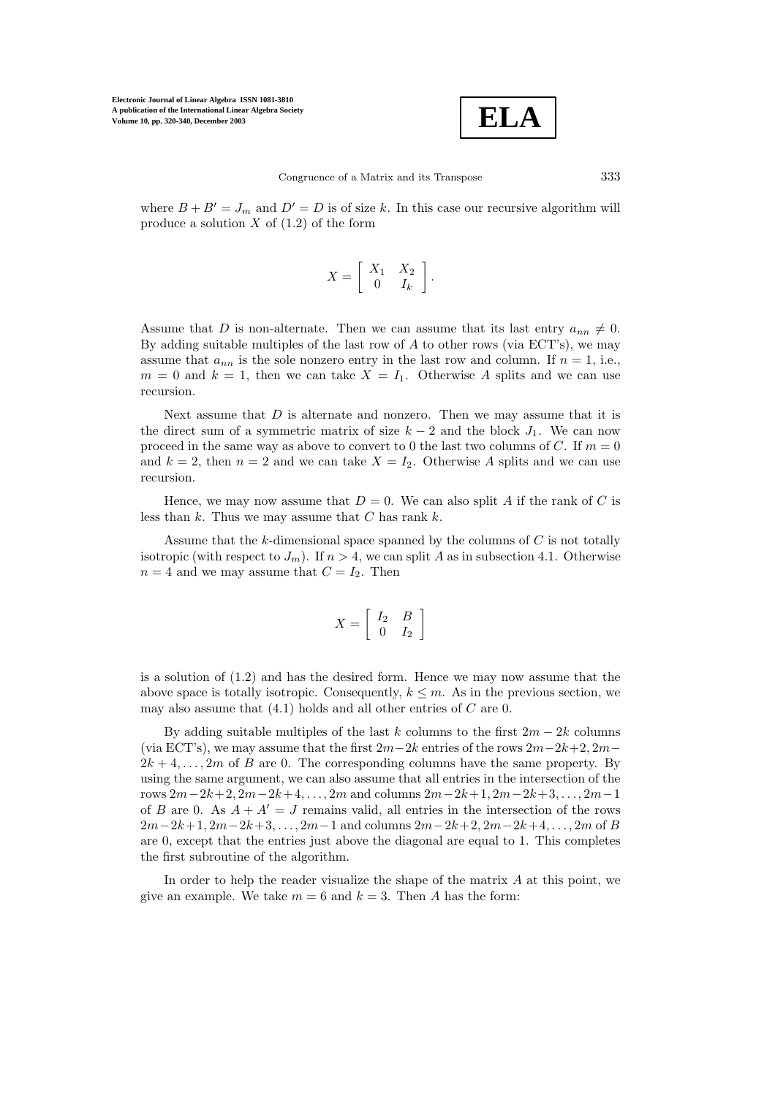

where  $B + B' = J_m$  and  $D' = D$  is of size k. In this case our recursive algorithm will produce a solution  $X$  of  $(1.2)$  of the form

$$
X = \left[ \begin{array}{cc} X_1 & X_2 \\ 0 & I_k \end{array} \right].
$$

Assume that D is non-alternate. Then we can assume that its last entry  $a_{nn} \neq 0$ . By adding suitable multiples of the last row of  $A$  to other rows (via ECT's), we may assume that  $a_{nn}$  is the sole nonzero entry in the last row and column. If  $n = 1$ , i.e.,  $m = 0$  and  $k = 1$ , then we can take  $X = I_1$ . Otherwise A splits and we can use recursion.

Next assume that  $D$  is alternate and nonzero. Then we may assume that it is the direct sum of a symmetric matrix of size  $k-2$  and the block  $J_1$ . We can now proceed in the same way as above to convert to 0 the last two columns of  $C$ . If  $m = 0$ and  $k = 2$ , then  $n = 2$  and we can take  $X = I_2$ . Otherwise A splits and we can use recursion.

Hence, we may now assume that  $D = 0$ . We can also split A if the rank of C is less than  $k$ . Thus we may assume that  $C$  has rank  $k$ .

Assume that the  $k$ -dimensional space spanned by the columns of  $C$  is not totally isotropic (with respect to  $J_m$ ). If  $n > 4$ , we can split A as in subsection 4.1. Otherwise  $n = 4$  and we may assume that  $C = I_2$ . Then

$$
X = \left[ \begin{array}{cc} I_2 & B \\ 0 & I_2 \end{array} \right]
$$

is a solution of (1.2) and has the desired form. Hence we may now assume that the above space is totally isotropic. Consequently,  $k \leq m$ . As in the previous section, we may also assume that  $(4.1)$  holds and all other entries of C are 0.

By adding suitable multiples of the last k columns to the first  $2m - 2k$  columns (via ECT's), we may assume that the first  $2m-2k$  entries of the rows  $2m-2k+2$ ,  $2m 2k + 4, \ldots, 2m$  of B are 0. The corresponding columns have the same property. By using the same argument, we can also assume that all entries in the intersection of the rows  $2m-2k+2$ ,  $2m-2k+4$ ,...,  $2m$  and columns  $2m-2k+1$ ,  $2m-2k+3$ ,...,  $2m-1$ of B are 0. As  $A + A' = J$  remains valid, all entries in the intersection of the rows  $2m-2k+1, 2m-2k+3, \ldots, 2m-1$  and columns  $2m-2k+2, 2m-2k+4, \ldots, 2m$  of B are 0, except that the entries just above the diagonal are equal to 1. This completes the first subroutine of the algorithm.

In order to help the reader visualize the shape of the matrix  $A$  at this point, we give an example. We take  $m = 6$  and  $k = 3$ . Then A has the form: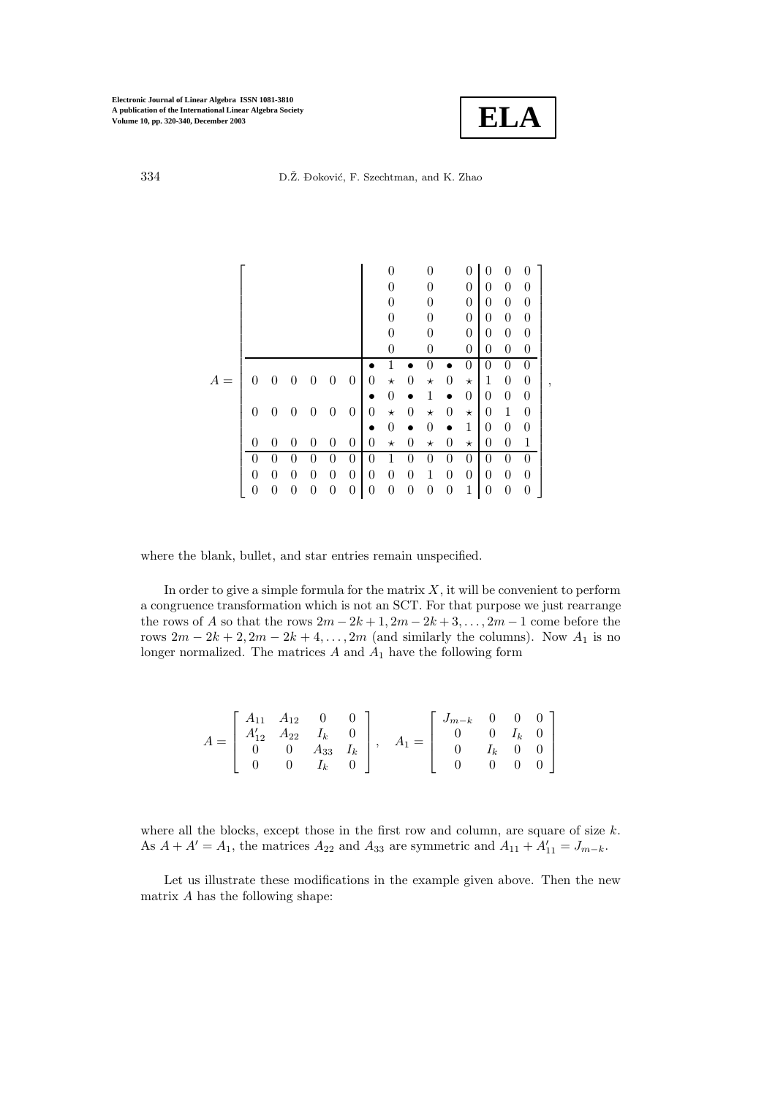

,

334 D.Ž. Đoković, F. Szechtman, and K. Zhao

|   |                |                  |                |                |                  |                |   |                  |                  | $\Omega$ |                | 0              | 0                | 0                | $\mathbf{0}$   |
|---|----------------|------------------|----------------|----------------|------------------|----------------|---|------------------|------------------|----------|----------------|----------------|------------------|------------------|----------------|
|   |                |                  |                |                |                  |                |   |                  |                  | 0        |                | 0              | 0                | $\boldsymbol{0}$ | 0              |
|   |                |                  |                |                |                  |                |   | 0                |                  | 0        |                | 0              | 0                | $\boldsymbol{0}$ | 0              |
|   |                |                  |                |                |                  |                |   | 0                |                  | 0        |                | $\overline{0}$ | $\boldsymbol{0}$ | $\boldsymbol{0}$ | 0              |
|   |                |                  |                |                |                  |                |   | 0                |                  | 0        |                | $\theta$       | $\boldsymbol{0}$ | $\boldsymbol{0}$ | $\overline{0}$ |
|   |                |                  |                |                |                  |                |   |                  |                  | 0        |                | 0              | $\overline{0}$   | $\boldsymbol{0}$ | 0              |
|   |                |                  |                |                |                  |                |   |                  |                  | 0        |                | 0              | 0                | $\overline{0}$   | $\theta$       |
| А | 0              | 0                | 0              | 0              | $\theta$         | $\theta$       | 0 | $^\star$         | $\overline{0}$   | $^\star$ | $\overline{0}$ | $^\star$       | $\mathbf{1}$     | $\overline{0}$   | $\overline{0}$ |
|   |                |                  |                |                |                  |                |   | 0                |                  | 1        |                | 0              | $\boldsymbol{0}$ | $\boldsymbol{0}$ | $\overline{0}$ |
|   | $\theta$       | $\overline{0}$   | 0              | $\overline{0}$ | $\overline{0}$   | $\theta$       | 0 | $^\star$         | $\boldsymbol{0}$ | $^\star$ | 0              | $^\star$       | 0                | $\mathbf 1$      | $\overline{0}$ |
|   |                |                  |                |                |                  |                | ٠ | 0                | $\bullet$        | 0        |                | 1              | $\overline{0}$   | $\boldsymbol{0}$ | 0              |
|   | 0              | 0                | 0              | 0              | $\theta$         | $\overline{0}$ | 0 | $^\star$         | $\overline{0}$   | $^\star$ | 0              | $^\star$       | 0                | $\boldsymbol{0}$ | 1              |
|   | 0              | 0                | 0              | 0              | 0                | $\overline{0}$ | 0 | 1                | 0                | 0        | 0              | $\overline{0}$ | 0                | $\boldsymbol{0}$ | $\overline{0}$ |
|   | $\overline{0}$ | 0                | $\overline{0}$ | 0              | $\overline{0}$   | $\overline{0}$ | 0 | $\boldsymbol{0}$ | $\overline{0}$   | 1        | 0              | $\overline{0}$ | $\boldsymbol{0}$ | $\boldsymbol{0}$ | $\overline{0}$ |
|   | 0              | $\boldsymbol{0}$ | 0              | 0              | $\boldsymbol{0}$ | 0              | 0 | $\boldsymbol{0}$ | 0                | 0        | 0              | 1              | $\boldsymbol{0}$ | 0                | 0              |

where the blank, bullet, and star entries remain unspecified.

In order to give a simple formula for the matrix  $X$ , it will be convenient to perform a congruence transformation which is not an SCT. For that purpose we just rearrange the rows of A so that the rows  $2m - 2k + 1$ ,  $2m - 2k + 3$ , ...,  $2m - 1$  come before the rows  $2m - 2k + 2$ ,  $2m - 2k + 4$ , ...,  $2m$  (and similarly the columns). Now  $A_1$  is no longer normalized. The matrices  $A$  and  $A_1$  have the following form

| $\left[ \begin{array}{cccc} A_{11} & A_{12} & 0 & 0 \end{array} \right]$ |                                                                                        |                       |  |         |                                                                                                              |  |                                           |
|--------------------------------------------------------------------------|----------------------------------------------------------------------------------------|-----------------------|--|---------|--------------------------------------------------------------------------------------------------------------|--|-------------------------------------------|
|                                                                          | $A = \begin{bmatrix} A'_{12} & A_{22} & I_k & 0 \ 0 & 0 & A_{33} & I_k \end{bmatrix},$ |                       |  |         |                                                                                                              |  |                                           |
|                                                                          |                                                                                        |                       |  | $A_1 =$ | $= \left[ \begin{array}{cccc} J_{m-k} & 0 & 0 & 0 \ 0 & 0 & I_k & 0 \ 0 & I_k & 0 & 0 \ \end{array} \right]$ |  |                                           |
| $\overline{0}$                                                           |                                                                                        | $0 \t I_k \t 0 \t \t$ |  |         | $\overline{0}$                                                                                               |  | $\begin{bmatrix} 0 & 0 & 0 \end{bmatrix}$ |

where all the blocks, except those in the first row and column, are square of size  $k$ . As  $A + A' = A_1$ , the matrices  $A_{22}$  and  $A_{33}$  are symmetric and  $A_{11} + A'_{11} = J_{m-k}$ .

Let us illustrate these modifications in the example given above. Then the new matrix  $\boldsymbol{A}$  has the following shape: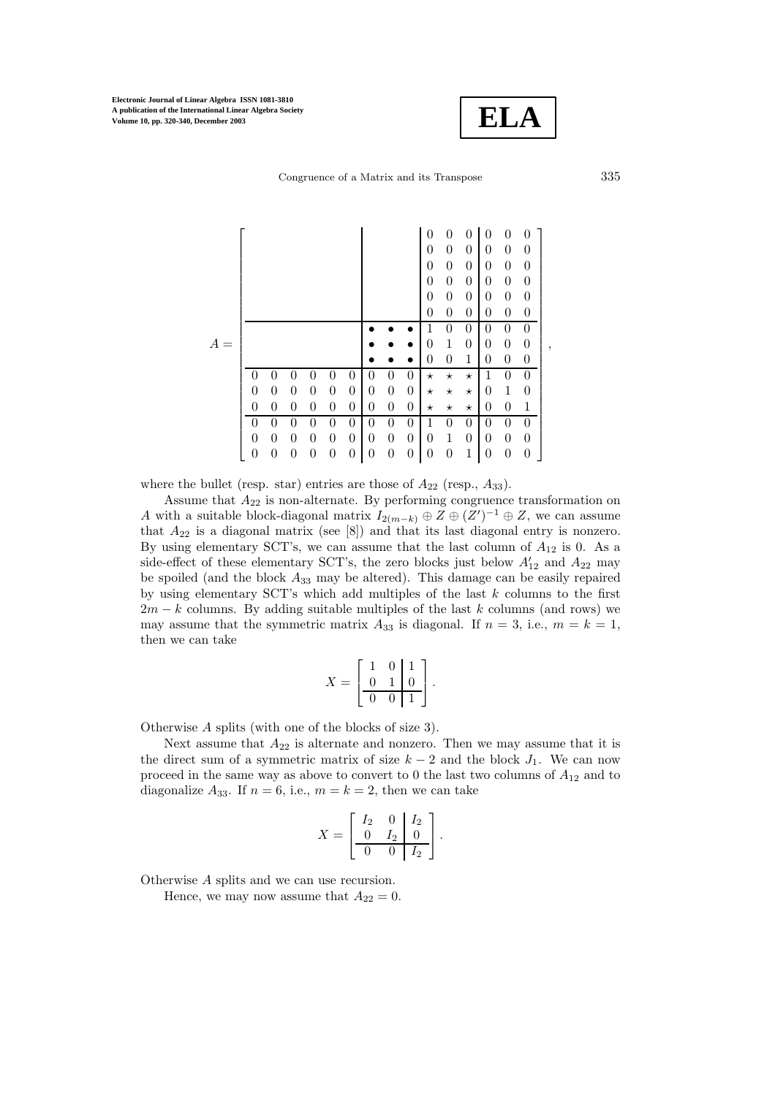

Congruence of a Matrix and its Transpose 335

|   |                |                |                |          |                |                  |   |                  |                | 0                | 0                | 0                | 0              | 0                | O                |  |
|---|----------------|----------------|----------------|----------|----------------|------------------|---|------------------|----------------|------------------|------------------|------------------|----------------|------------------|------------------|--|
|   |                |                |                |          |                |                  |   |                  |                | 0                | $\boldsymbol{0}$ | $\overline{0}$   | 0              | 0                | 0                |  |
|   |                |                |                |          |                |                  |   |                  |                | 0                | $\boldsymbol{0}$ | $\overline{0}$   | 0              | $\overline{0}$   | 0                |  |
|   |                |                |                |          |                |                  |   |                  |                | 0                | $\boldsymbol{0}$ | $\overline{0}$   | $\theta$       | 0                | 0                |  |
|   |                |                |                |          |                |                  |   |                  |                | 0                | $\boldsymbol{0}$ | $\boldsymbol{0}$ | $\theta$       | $\overline{0}$   | $\theta$         |  |
|   |                |                |                |          |                |                  |   |                  |                | 0                | 0                | $\overline{0}$   | 0              | $\overline{0}$   | $\overline{0}$   |  |
|   |                |                |                |          |                |                  |   |                  |                |                  | 0                | $\theta$         | 0              | $\theta$         | $\overline{0}$   |  |
| A |                |                |                |          |                |                  |   |                  |                | $\boldsymbol{0}$ | $\mathbf 1$      | $\boldsymbol{0}$ | $\overline{0}$ | $\boldsymbol{0}$ | $\boldsymbol{0}$ |  |
|   |                |                |                |          |                |                  |   |                  |                | 0                | 0                | 1                | 0              | 0                | 0                |  |
|   | 0              | 0              | 0              | $\theta$ | 0              | 0                | 0 | $\boldsymbol{0}$ | $\overline{0}$ | $^\star$         | $^\star$         | $^\star$         | 1              | 0                | $\overline{0}$   |  |
|   | $\overline{0}$ | 0              | $\overline{0}$ | 0        | $\overline{0}$ | $\boldsymbol{0}$ | 0 | $\boldsymbol{0}$ | $\overline{0}$ | $^\star$         | $^\star$         | $^\star$         | 0              | 1                | 0                |  |
|   | $\overline{0}$ | 0              | $\overline{0}$ | $\theta$ | $\overline{0}$ | $\boldsymbol{0}$ | 0 | $\overline{0}$   | $\overline{0}$ | $^\star$         | $^\star$         | $^\star$         | 0              | 0                | 1                |  |
|   | $\theta$       | $\overline{0}$ | $\overline{0}$ | $\theta$ | $\overline{0}$ | $\theta$         | 0 | $\boldsymbol{0}$ | $\overline{0}$ | 1                | $\theta$         | $\theta$         | 0              | $\overline{0}$   | $\overline{0}$   |  |
|   | $\overline{0}$ | 0              | $\overline{0}$ | $\theta$ | $\overline{0}$ | $\overline{0}$   | 0 | $\boldsymbol{0}$ | $\overline{0}$ | $\overline{0}$   | $\mathbf 1$      | $\boldsymbol{0}$ | $\overline{0}$ | 0                | $\overline{0}$   |  |
|   | 0              | 0              | 0              | 0        | 0              | 0                | 0 | $\boldsymbol{0}$ | 0              | 0                | $\boldsymbol{0}$ | 1                | 0              | 0                | 0                |  |
|   |                |                |                |          |                |                  |   |                  |                |                  |                  |                  |                |                  |                  |  |

where the bullet (resp. star) entries are those of  $A_{22}$  (resp.,  $A_{33}$ ).

Assume that  $A_{22}$  is non-alternate. By performing congruence transformation on A with a suitable block-diagonal matrix  $I_{2(m-k)} \oplus Z \oplus (Z')^{-1} \oplus Z$ , we can assume that  $A_{22}$  is a diagonal matrix (see [8]) and that its last diagonal entry is nonzero. By using elementary SCT's, we can assume that the last column of  $A_{12}$  is 0. As a side-effect of these elementary SCT's, the zero blocks just below  $A'_{12}$  and  $A_{22}$  may be spoiled (and the block  $A_{33}$  may be altered). This damage can be easily repaired by using elementary SCT's which add multiples of the last  $k$  columns to the first  $2m - k$  columns. By adding suitable multiples of the last k columns (and rows) we may assume that the symmetric matrix  $A_{33}$  is diagonal. If  $n = 3$ , i.e.,  $m = k = 1$ , then we can take

$$
X = \left[ \begin{array}{rrr} 1 & 0 & 1 \\ 0 & 1 & 0 \\ \hline 0 & 0 & 1 \end{array} \right].
$$

Otherwise A splits (with one of the blocks of size 3).

Next assume that  $A_{22}$  is alternate and nonzero. Then we may assume that it is the direct sum of a symmetric matrix of size  $k-2$  and the block  $J_1$ . We can now proceed in the same way as above to convert to 0 the last two columns of  $A_{12}$  and to diagonalize  $A_{33}$ . If  $n = 6$ , i.e.,  $m = k = 2$ , then we can take

$$
X = \begin{bmatrix} I_2 & 0 & I_2 \\ 0 & I_2 & 0 \\ \hline 0 & 0 & I_2 \end{bmatrix}.
$$

Otherwise A splits and we can use recursion.

Hence, we may now assume that  $A_{22} = 0$ .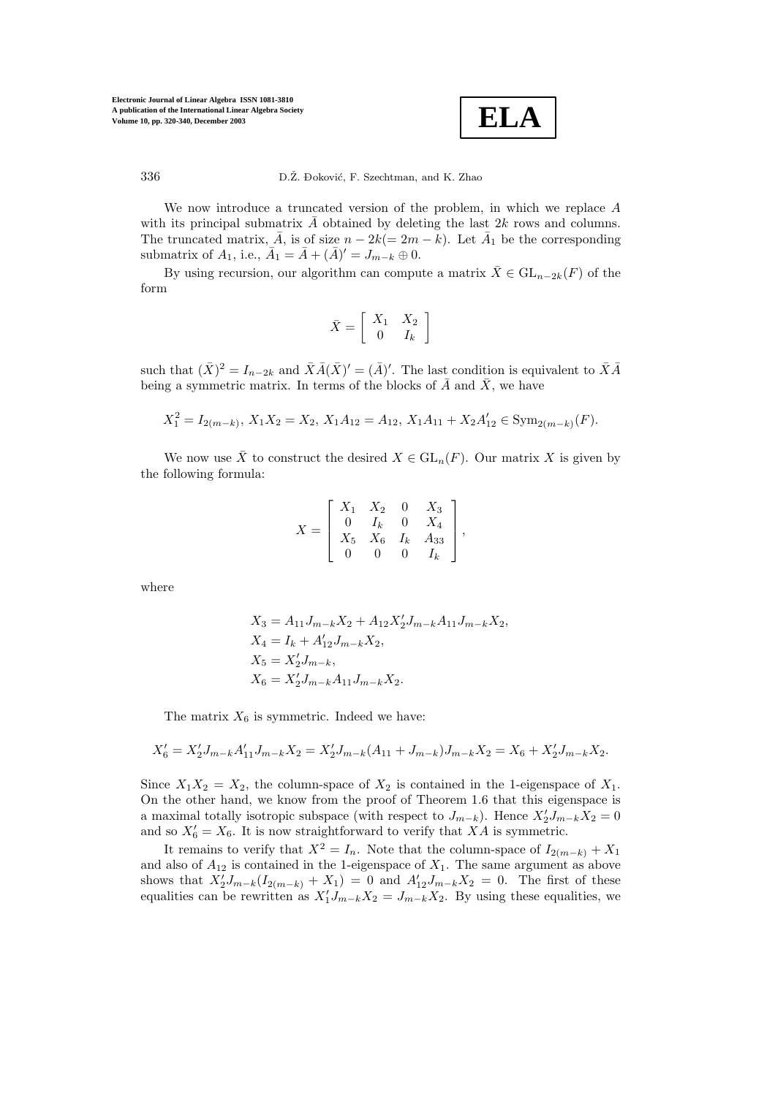

We now introduce a truncated version of the problem, in which we replace  $A$ with its principal submatrix  $\overline{A}$  obtained by deleting the last 2k rows and columns. The truncated matrix,  $\overline{A}$ , is of size  $n - 2k(= 2m - k)$ . Let  $\overline{A}_1$  be the corresponding submatrix of  $A_1$ , i.e.,  $\bar{A}_1 = \bar{A} + (\bar{A})' = J_{m-k} \oplus 0$ .

By using recursion, our algorithm can compute a matrix  $\bar{X} \in GL_{n-2k}(F)$  of the form

$$
\bar{X} = \left[ \begin{array}{cc} X_1 & X_2 \\ 0 & I_k \end{array} \right]
$$

such that  $(\bar{X})^2 = I_{n-2k}$  and  $\bar{X}\bar{A}(\bar{X})' = (\bar{A})'$ . The last condition is equivalent to  $\bar{X}\bar{A}$ being a symmetric matrix. In terms of the blocks of  $\bar{A}$  and  $\bar{X}$ , we have

$$
X_1^2 = I_{2(m-k)}, X_1 X_2 = X_2, X_1 A_{12} = A_{12}, X_1 A_{11} + X_2 A'_{12} \in \text{Sym}_{2(m-k)}(F).
$$

We now use  $\overline{X}$  to construct the desired  $X \in GL_n(F)$ . Our matrix X is given by the following formula:

$$
X = \left[ \begin{array}{cccc} X_1 & X_2 & 0 & X_3 \\ 0 & I_k & 0 & X_4 \\ X_5 & X_6 & I_k & A_{33} \\ 0 & 0 & 0 & I_k \end{array} \right],
$$

where

$$
X_3 = A_{11}J_{m-k}X_2 + A_{12}X'_2J_{m-k}A_{11}J_{m-k}X_2,
$$
  
\n
$$
X_4 = I_k + A'_{12}J_{m-k}X_2,
$$
  
\n
$$
X_5 = X'_2J_{m-k},
$$
  
\n
$$
X_6 = X'_2J_{m-k}A_{11}J_{m-k}X_2.
$$

The matrix  $X_6$  is symmetric. Indeed we have:

$$
X'_6 = X'_2 J_{m-k} A'_{11} J_{m-k} X_2 = X'_2 J_{m-k} (A_{11} + J_{m-k}) J_{m-k} X_2 = X_6 + X'_2 J_{m-k} X_2.
$$

Since  $X_1X_2 = X_2$ , the column-space of  $X_2$  is contained in the 1-eigenspace of  $X_1$ . On the other hand, we know from the proof of Theorem 1.6 that this eigenspace is a maximal totally isotropic subspace (with respect to  $J_{m-k}$ ). Hence  $X_2' J_{m-k} X_2 = 0$ and so  $X_6' = X_6$ . It is now straightforward to verify that XA is symmetric.

It remains to verify that  $X^2 = I_n$ . Note that the column-space of  $I_{2(m-k)} + X_1$ and also of  $A_{12}$  is contained in the 1-eigenspace of  $X_1$ . The same argument as above shows that  $X_2'J_{m-k}(I_{2(m-k)} + X_1) = 0$  and  $A'_{12}J_{m-k}X_2 = 0$ . The first of these equalities can be rewritten as  $X_1' J_{m-k} X_2 = J_{m-k} X_2$ . By using these equalities, we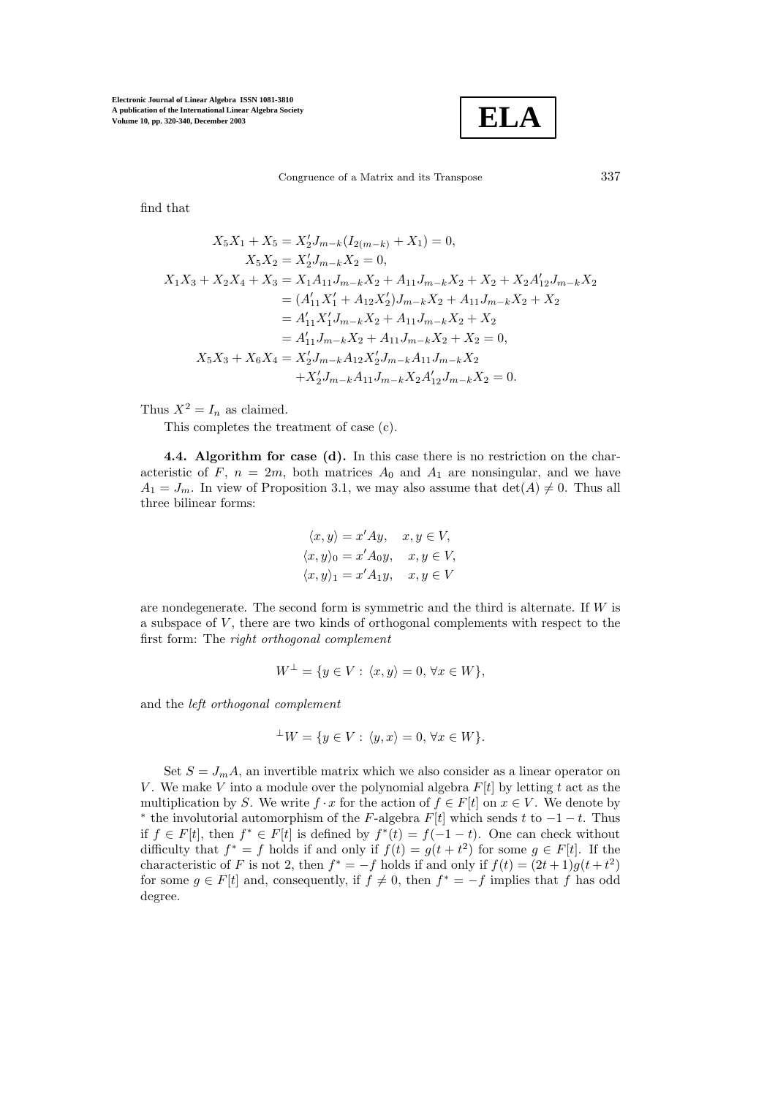$$
\boxed{\textbf{ELA}}
$$

Congruence of a Matrix and its Transpose 337

find that

$$
X_5X_1 + X_5 = X_2'J_{m-k}(I_{2(m-k)} + X_1) = 0,
$$
  
\n
$$
X_5X_2 = X_2'J_{m-k}X_2 = 0,
$$
  
\n
$$
X_1X_3 + X_2X_4 + X_3 = X_1A_{11}J_{m-k}X_2 + A_{11}J_{m-k}X_2 + X_2 + X_2A_{12}'J_{m-k}X_2
$$
  
\n
$$
= (A'_{11}X'_1 + A_{12}X'_2)J_{m-k}X_2 + A_{11}J_{m-k}X_2 + X_2
$$
  
\n
$$
= A'_{11}X'_1J_{m-k}X_2 + A_{11}J_{m-k}X_2 + X_2
$$
  
\n
$$
= A'_{11}J_{m-k}X_2 + A_{11}J_{m-k}X_2 + X_2 = 0,
$$
  
\n
$$
X_5X_3 + X_6X_4 = X'_2J_{m-k}A_{12}X'_2J_{m-k}A_{11}J_{m-k}X_2
$$
  
\n
$$
+ X'_2J_{m-k}A_{11}J_{m-k}X_2A'_{12}J_{m-k}X_2 = 0.
$$

Thus  $X^2 = I_n$  as claimed.

This completes the treatment of case (c).

**4.4. Algorithm for case (d).** In this case there is no restriction on the characteristic of F,  $n = 2m$ , both matrices  $A_0$  and  $A_1$  are nonsingular, and we have  $A_1 = J_m$ . In view of Proposition 3.1, we may also assume that  $\det(A) \neq 0$ . Thus all three bilinear forms:

$$
\langle x, y \rangle = x'Ay, \quad x, y \in V,
$$
  

$$
\langle x, y \rangle_0 = x'A_0y, \quad x, y \in V,
$$
  

$$
\langle x, y \rangle_1 = x'A_1y, \quad x, y \in V
$$

are nondegenerate. The second form is symmetric and the third is alternate. If  $W$  is a subspace of  $V$ , there are two kinds of orthogonal complements with respect to the first form: The *right orthogonal complement*

$$
W^{\perp} = \{ y \in V : \langle x, y \rangle = 0, \forall x \in W \},
$$

and the *left orthogonal complement*

$$
{}^{\perp}W = \{ y \in V : \langle y, x \rangle = 0, \forall x \in W \}.
$$

Set  $S = J_m A$ , an invertible matrix which we also consider as a linear operator on V. We make V into a module over the polynomial algebra  $F[t]$  by letting t act as the multiplication by S. We write  $f \cdot x$  for the action of  $f \in F[t]$  on  $x \in V$ . We denote by \* the involutorial automorphism of the F-algebra  $F[t]$  which sends t to  $-1-t$ . Thus if  $f \in F[t]$ , then  $f^* \in F[t]$  is defined by  $f^*(t) = f(-1-t)$ . One can check without difficulty that  $f^* = f$  holds if and only if  $f(t) = g(t + t^2)$  for some  $g \in F[t]$ . If the characteristic of F is not 2, then  $f^* = -f$  holds if and only if  $f(t) = (2t+1)g(t+t^2)$ for some  $g \in F[t]$  and, consequently, if  $f \neq 0$ , then  $f^* = -f$  implies that f has odd degree.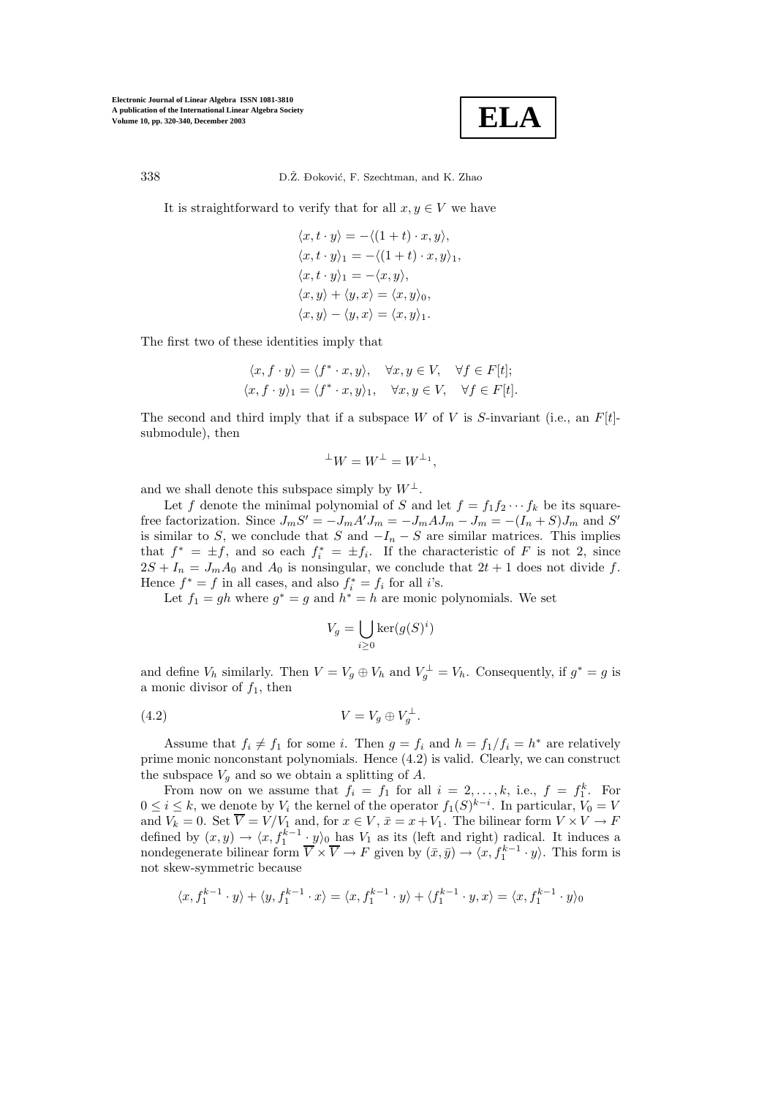

338 D.Ž. Đoković, F. Szechtman, and K. Zhao

It is straightforward to verify that for all  $x, y \in V$  we have

$$
\langle x, t \cdot y \rangle = -\langle (1+t) \cdot x, y \rangle,
$$
  
\n
$$
\langle x, t \cdot y \rangle_1 = -\langle (1+t) \cdot x, y \rangle_1,
$$
  
\n
$$
\langle x, t \cdot y \rangle_1 = -\langle x, y \rangle,
$$
  
\n
$$
\langle x, y \rangle + \langle y, x \rangle = \langle x, y \rangle_0,
$$
  
\n
$$
\langle x, y \rangle - \langle y, x \rangle = \langle x, y \rangle_1.
$$

The first two of these identities imply that

$$
\langle x, f \cdot y \rangle = \langle f^* \cdot x, y \rangle, \quad \forall x, y \in V, \quad \forall f \in F[t];
$$
  

$$
\langle x, f \cdot y \rangle_1 = \langle f^* \cdot x, y \rangle_1, \quad \forall x, y \in V, \quad \forall f \in F[t].
$$

The second and third imply that if a subspace W of V is S-invariant (i.e., an  $F[t]$ submodule), then

$$
^{\perp}W = W^{\perp} = W^{\perp_1},
$$

and we shall denote this subspace simply by  $W^{\perp}$ .

Let f denote the minimal polynomial of S and let  $f = f_1 f_2 \cdots f_k$  be its squarefree factorization. Since  $J_m S' = -J_m A' J_m = -J_m A J_m - J_m = -(I_n + S) J_m$  and  $S'$ is similar to S, we conclude that S and  $-I_n - S$  are similar matrices. This implies that  $f^* = \pm f$ , and so each  $f_i^* = \pm f_i$ . If the characteristic of F is not 2, since  $2S + I_n = J_m A_0$  and  $A_0$  is nonsingular, we conclude that  $2t + 1$  does not divide f. Hence  $f^* = f$  in all cases, and also  $f_i^* = f_i$  for all *i*'s.

Let  $f_1 = gh$  where  $g^* = g$  and  $h^* = h$  are monic polynomials. We set

$$
V_g = \bigcup_{i \ge 0} \ker(g(S)^i)
$$

and define  $V_h$  similarly. Then  $V = V_g \oplus V_h$  and  $V_g^{\perp} = V_h$ . Consequently, if  $g^* = g$  is a monic divisor of  $f_1$ , then

$$
(4.2) \t\t V = V_g \oplus V_g^{\perp}.
$$

Assume that  $f_i \neq f_1$  for some i. Then  $g = f_i$  and  $h = f_1/f_i = h^*$  are relatively prime monic nonconstant polynomials. Hence (4.2) is valid. Clearly, we can construct the subspace  $V_g$  and so we obtain a splitting of A.

From now on we assume that  $f_i = f_1$  for all  $i = 2, ..., k$ , i.e.,  $f = f_1^k$ . For  $0 \leq i \leq k$ , we denote by  $V_i$  the kernel of the operator  $f_1(S)^{k-i}$ . In particular,  $V_0 = V$ and  $V_k = 0$ . Set  $V = V/V_1$  and, for  $x \in V$ ,  $\bar{x} = x + V_1$ . The bilinear form  $V \times V \to F$ defined by  $(x, y) \rightarrow \langle x, f_1^{k-1} \cdot y \rangle_0$  has  $V_1$  as its (left and right) radical. It induces a nondegenerate bilinear form  $\overline{V} \times \overline{V} \to F$  given by  $(\bar{x}, \bar{y}) \to \langle x, f_1^{k-1} \cdot y \rangle$ . This form is not skew-symmetric because

$$
\langle x, f_1^{k-1} \cdot y \rangle + \langle y, f_1^{k-1} \cdot x \rangle = \langle x, f_1^{k-1} \cdot y \rangle + \langle f_1^{k-1} \cdot y, x \rangle = \langle x, f_1^{k-1} \cdot y \rangle_0
$$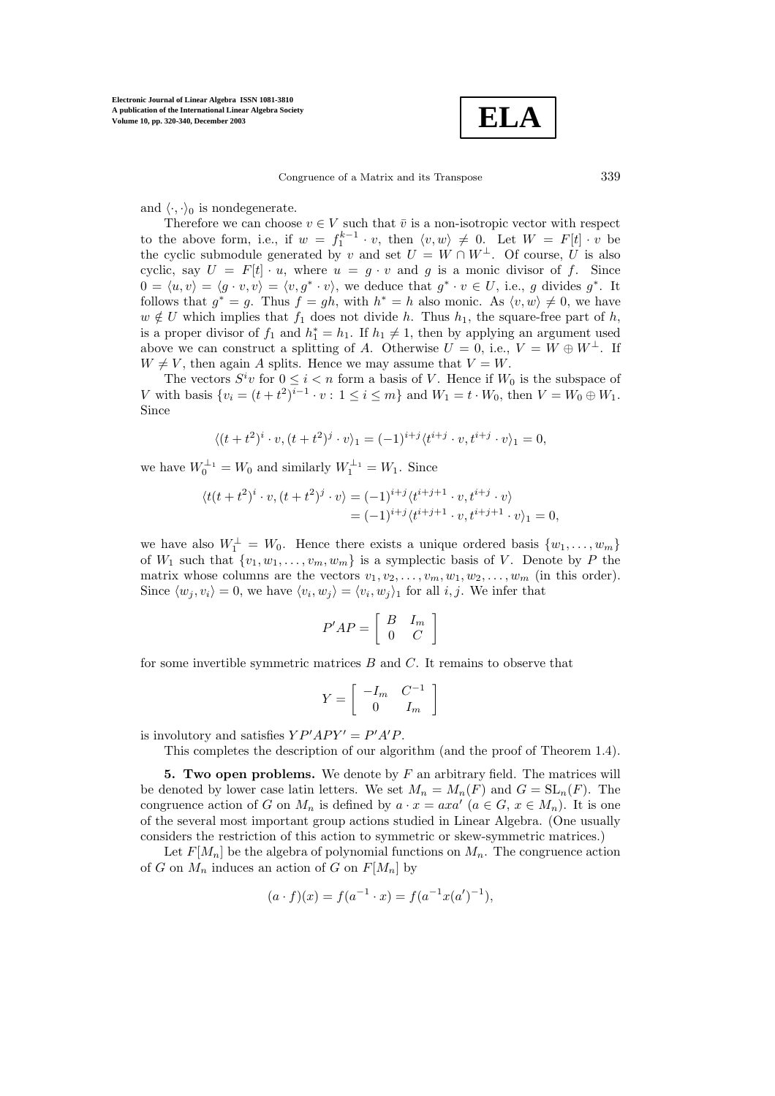

and  $\langle \cdot, \cdot \rangle_0$  is nondegenerate.

Therefore we can choose  $v \in V$  such that  $\overline{v}$  is a non-isotropic vector with respect to the above form, i.e., if  $w = f_1^{k-1} \cdot v$ , then  $\langle v, w \rangle \neq 0$ . Let  $W = F[t] \cdot v$  be the cyclic submodule generated by v and set  $U = W \cap W^{\perp}$ . Of course, U is also cyclic, say  $U = F[t] \cdot u$ , where  $u = g \cdot v$  and g is a monic divisor of f. Since  $0 = \langle u, v \rangle = \langle g \cdot v, v \rangle = \langle v, g^* \cdot v \rangle$ , we deduce that  $g^* \cdot v \in U$ , i.e., g divides  $g^*$ . It follows that  $g^* = g$ . Thus  $f = gh$ , with  $h^* = h$  also monic. As  $\langle v, w \rangle \neq 0$ , we have  $w \notin U$  which implies that  $f_1$  does not divide h. Thus  $h_1$ , the square-free part of h, is a proper divisor of  $f_1$  and  $h_1^* = h_1$ . If  $h_1 \neq 1$ , then by applying an argument used above we can construct a splitting of A. Otherwise  $U = 0$ , i.e.,  $V = W \oplus W^{\perp}$ . If  $W \neq V$ , then again A splits. Hence we may assume that  $V = W$ .

The vectors  $S^i v$  for  $0 \leq i < n$  form a basis of V. Hence if  $W_0$  is the subspace of V with basis  $\{v_i = (t + t^2)^{i-1} \cdot v : 1 \le i \le m\}$  and  $W_1 = t \cdot W_0$ , then  $V = W_0 \oplus W_1$ . Since

$$
\langle (t+t^2)^i \cdot v, (t+t^2)^j \cdot v \rangle_1 = (-1)^{i+j} \langle t^{i+j} \cdot v, t^{i+j} \cdot v \rangle_1 = 0,
$$

we have  $W_0^{\perp_1} = W_0$  and similarly  $W_1^{\perp_1} = W_1$ . Since

$$
\langle t(t+t^2)^i \cdot v, (t+t^2)^j \cdot v \rangle = (-1)^{i+j} \langle t^{i+j+1} \cdot v, t^{i+j} \cdot v \rangle = (-1)^{i+j} \langle t^{i+j+1} \cdot v, t^{i+j+1} \cdot v \rangle_1 = 0,
$$

we have also  $W_1^{\perp} = W_0$ . Hence there exists a unique ordered basis  $\{w_1, \ldots, w_m\}$ of  $W_1$  such that  $\{v_1, w_1, \ldots, v_m, w_m\}$  is a symplectic basis of V. Denote by P the matrix whose columns are the vectors  $v_1, v_2, \ldots, v_m, w_1, w_2, \ldots, w_m$  (in this order). Since  $\langle w_i, v_i \rangle = 0$ , we have  $\langle v_i, w_j \rangle = \langle v_i, w_j \rangle$  for all i, j. We infer that

$$
P'AP = \left[ \begin{array}{cc} B & I_m \\ 0 & C \end{array} \right]
$$

for some invertible symmetric matrices  $B$  and  $C$ . It remains to observe that

$$
Y = \left[ \begin{array}{cc} -I_m & C^{-1} \\ 0 & I_m \end{array} \right]
$$

is involutory and satisfies  $YP'APY' = P'A'P$ .

This completes the description of our algorithm (and the proof of Theorem 1.4).

**5. Two open problems.** We denote by F an arbitrary field. The matrices will be denoted by lower case latin letters. We set  $M_n = M_n(F)$  and  $G = SL_n(F)$ . The congruence action of G on  $M_n$  is defined by  $a \cdot x = axa'$   $(a \in G, x \in M_n)$ . It is one of the several most important group actions studied in Linear Algebra. (One usually considers the restriction of this action to symmetric or skew-symmetric matrices.)

Let  $F[M_n]$  be the algebra of polynomial functions on  $M_n$ . The congruence action of G on  $M_n$  induces an action of G on  $F[M_n]$  by

$$
(a \cdot f)(x) = f(a^{-1} \cdot x) = f(a^{-1}x(a')^{-1}),
$$